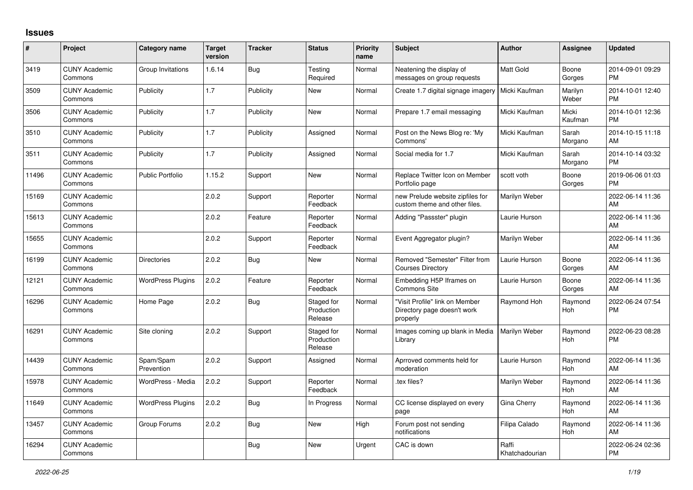## **Issues**

| $\vert$ # | Project                         | <b>Category name</b>     | <b>Target</b><br>version | <b>Tracker</b> | <b>Status</b>                       | <b>Priority</b><br>name | <b>Subject</b>                                                            | <b>Author</b>           | <b>Assignee</b>       | <b>Updated</b>                |
|-----------|---------------------------------|--------------------------|--------------------------|----------------|-------------------------------------|-------------------------|---------------------------------------------------------------------------|-------------------------|-----------------------|-------------------------------|
| 3419      | <b>CUNY Academic</b><br>Commons | Group Invitations        | 1.6.14                   | Bug            | Testing<br>Required                 | Normal                  | Neatening the display of<br>messages on group requests                    | <b>Matt Gold</b>        | Boone<br>Gorges       | 2014-09-01 09:29<br><b>PM</b> |
| 3509      | <b>CUNY Academic</b><br>Commons | Publicity                | 1.7                      | Publicity      | New                                 | Normal                  | Create 1.7 digital signage imagery                                        | Micki Kaufman           | Marilyn<br>Weber      | 2014-10-01 12:40<br><b>PM</b> |
| 3506      | <b>CUNY Academic</b><br>Commons | Publicity                | 1.7                      | Publicity      | <b>New</b>                          | Normal                  | Prepare 1.7 email messaging                                               | Micki Kaufman           | Micki<br>Kaufman      | 2014-10-01 12:36<br><b>PM</b> |
| 3510      | <b>CUNY Academic</b><br>Commons | Publicity                | 1.7                      | Publicity      | Assigned                            | Normal                  | Post on the News Blog re: 'My<br>Commons'                                 | Micki Kaufman           | Sarah<br>Morgano      | 2014-10-15 11:18<br>AM        |
| 3511      | <b>CUNY Academic</b><br>Commons | Publicity                | 1.7                      | Publicity      | Assigned                            | Normal                  | Social media for 1.7                                                      | Micki Kaufman           | Sarah<br>Morgano      | 2014-10-14 03:32<br><b>PM</b> |
| 11496     | <b>CUNY Academic</b><br>Commons | <b>Public Portfolio</b>  | 1.15.2                   | Support        | <b>New</b>                          | Normal                  | Replace Twitter Icon on Member<br>Portfolio page                          | scott voth              | Boone<br>Gorges       | 2019-06-06 01:03<br><b>PM</b> |
| 15169     | <b>CUNY Academic</b><br>Commons |                          | 2.0.2                    | Support        | Reporter<br>Feedback                | Normal                  | new Prelude website zipfiles for<br>custom theme and other files.         | Marilyn Weber           |                       | 2022-06-14 11:36<br>AM        |
| 15613     | <b>CUNY Academic</b><br>Commons |                          | 2.0.2                    | Feature        | Reporter<br>Feedback                | Normal                  | Adding "Passster" plugin                                                  | Laurie Hurson           |                       | 2022-06-14 11:36<br>AM        |
| 15655     | <b>CUNY Academic</b><br>Commons |                          | 2.0.2                    | Support        | Reporter<br>Feedback                | Normal                  | Event Aggregator plugin?                                                  | Marilyn Weber           |                       | 2022-06-14 11:36<br>AM        |
| 16199     | <b>CUNY Academic</b><br>Commons | <b>Directories</b>       | 2.0.2                    | <b>Bug</b>     | New                                 | Normal                  | Removed "Semester" Filter from<br><b>Courses Directory</b>                | Laurie Hurson           | Boone<br>Gorges       | 2022-06-14 11:36<br>AM        |
| 12121     | <b>CUNY Academic</b><br>Commons | <b>WordPress Plugins</b> | 2.0.2                    | Feature        | Reporter<br>Feedback                | Normal                  | Embedding H5P Iframes on<br><b>Commons Site</b>                           | Laurie Hurson           | Boone<br>Gorges       | 2022-06-14 11:36<br>AM        |
| 16296     | <b>CUNY Academic</b><br>Commons | Home Page                | 2.0.2                    | Bug            | Staged for<br>Production<br>Release | Normal                  | "Visit Profile" link on Member<br>Directory page doesn't work<br>properly | Raymond Hoh             | Raymond<br><b>Hoh</b> | 2022-06-24 07:54<br><b>PM</b> |
| 16291     | <b>CUNY Academic</b><br>Commons | Site cloning             | 2.0.2                    | Support        | Staged for<br>Production<br>Release | Normal                  | Images coming up blank in Media<br>Library                                | Marilyn Weber           | Raymond<br>Hoh        | 2022-06-23 08:28<br><b>PM</b> |
| 14439     | <b>CUNY Academic</b><br>Commons | Spam/Spam<br>Prevention  | 2.0.2                    | Support        | Assigned                            | Normal                  | Aprroved comments held for<br>moderation                                  | Laurie Hurson           | Raymond<br>Hoh        | 2022-06-14 11:36<br>AM        |
| 15978     | <b>CUNY Academic</b><br>Commons | WordPress - Media        | 2.0.2                    | Support        | Reporter<br>Feedback                | Normal                  | tex files?                                                                | Marilyn Weber           | Raymond<br><b>Hoh</b> | 2022-06-14 11:36<br>AM        |
| 11649     | <b>CUNY Academic</b><br>Commons | <b>WordPress Plugins</b> | 2.0.2                    | Bug            | In Progress                         | Normal                  | CC license displayed on every<br>page                                     | Gina Cherry             | Raymond<br><b>Hoh</b> | 2022-06-14 11:36<br>AM        |
| 13457     | <b>CUNY Academic</b><br>Commons | Group Forums             | 2.0.2                    | Bug            | New                                 | High                    | Forum post not sending<br>notifications                                   | Filipa Calado           | Raymond<br><b>Hoh</b> | 2022-06-14 11:36<br>AM        |
| 16294     | <b>CUNY Academic</b><br>Commons |                          |                          | <b>Bug</b>     | New                                 | Urgent                  | CAC is down                                                               | Raffi<br>Khatchadourian |                       | 2022-06-24 02:36<br>PM        |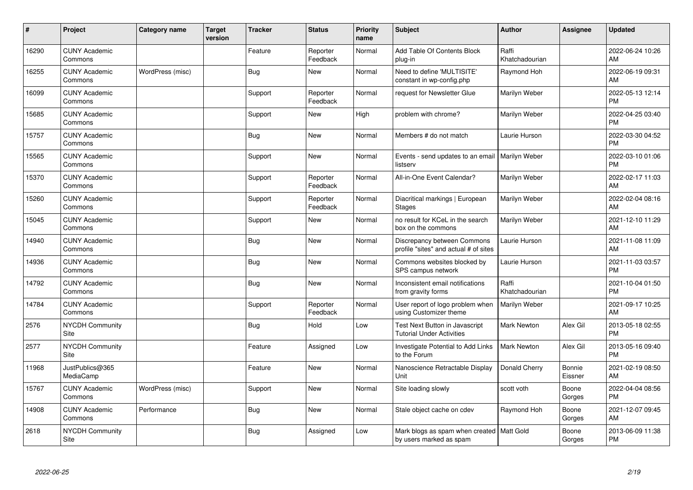| ∦     | Project                         | <b>Category name</b> | <b>Target</b><br>version | <b>Tracker</b> | <b>Status</b>        | Priority<br>name | <b>Subject</b>                                                         | <b>Author</b>           | <b>Assignee</b>   | <b>Updated</b>                |
|-------|---------------------------------|----------------------|--------------------------|----------------|----------------------|------------------|------------------------------------------------------------------------|-------------------------|-------------------|-------------------------------|
| 16290 | <b>CUNY Academic</b><br>Commons |                      |                          | Feature        | Reporter<br>Feedback | Normal           | Add Table Of Contents Block<br>plug-in                                 | Raffi<br>Khatchadourian |                   | 2022-06-24 10:26<br>AM        |
| 16255 | <b>CUNY Academic</b><br>Commons | WordPress (misc)     |                          | <b>Bug</b>     | <b>New</b>           | Normal           | Need to define 'MULTISITE'<br>constant in wp-config.php                | Raymond Hoh             |                   | 2022-06-19 09:31<br>AM        |
| 16099 | <b>CUNY Academic</b><br>Commons |                      |                          | Support        | Reporter<br>Feedback | Normal           | request for Newsletter Glue                                            | Marilyn Weber           |                   | 2022-05-13 12:14<br>PM        |
| 15685 | <b>CUNY Academic</b><br>Commons |                      |                          | Support        | <b>New</b>           | High             | problem with chrome?                                                   | Marilyn Weber           |                   | 2022-04-25 03:40<br><b>PM</b> |
| 15757 | <b>CUNY Academic</b><br>Commons |                      |                          | <b>Bug</b>     | <b>New</b>           | Normal           | Members # do not match                                                 | Laurie Hurson           |                   | 2022-03-30 04:52<br><b>PM</b> |
| 15565 | <b>CUNY Academic</b><br>Commons |                      |                          | Support        | <b>New</b>           | Normal           | Events - send updates to an email   Marilyn Weber<br>listserv          |                         |                   | 2022-03-10 01:06<br>PM        |
| 15370 | <b>CUNY Academic</b><br>Commons |                      |                          | Support        | Reporter<br>Feedback | Normal           | All-in-One Event Calendar?                                             | Marilyn Weber           |                   | 2022-02-17 11:03<br>AM        |
| 15260 | <b>CUNY Academic</b><br>Commons |                      |                          | Support        | Reporter<br>Feedback | Normal           | Diacritical markings   European<br><b>Stages</b>                       | Marilyn Weber           |                   | 2022-02-04 08:16<br>AM        |
| 15045 | <b>CUNY Academic</b><br>Commons |                      |                          | Support        | <b>New</b>           | Normal           | no result for KCeL in the search<br>box on the commons                 | Marilyn Weber           |                   | 2021-12-10 11:29<br>AM        |
| 14940 | <b>CUNY Academic</b><br>Commons |                      |                          | Bug            | <b>New</b>           | Normal           | Discrepancy between Commons<br>profile "sites" and actual # of sites   | Laurie Hurson           |                   | 2021-11-08 11:09<br>AM        |
| 14936 | <b>CUNY Academic</b><br>Commons |                      |                          | Bug            | <b>New</b>           | Normal           | Commons websites blocked by<br>SPS campus network                      | Laurie Hurson           |                   | 2021-11-03 03:57<br><b>PM</b> |
| 14792 | <b>CUNY Academic</b><br>Commons |                      |                          | <b>Bug</b>     | <b>New</b>           | Normal           | Inconsistent email notifications<br>from gravity forms                 | Raffi<br>Khatchadourian |                   | 2021-10-04 01:50<br><b>PM</b> |
| 14784 | <b>CUNY Academic</b><br>Commons |                      |                          | Support        | Reporter<br>Feedback | Normal           | User report of logo problem when<br>using Customizer theme             | Marilyn Weber           |                   | 2021-09-17 10:25<br>AM        |
| 2576  | NYCDH Community<br>Site         |                      |                          | <b>Bug</b>     | Hold                 | Low              | Test Next Button in Javascript<br><b>Tutorial Under Activities</b>     | Mark Newton             | Alex Gil          | 2013-05-18 02:55<br>PM        |
| 2577  | <b>NYCDH Community</b><br>Site  |                      |                          | Feature        | Assigned             | Low              | Investigate Potential to Add Links<br>to the Forum                     | <b>Mark Newton</b>      | Alex Gil          | 2013-05-16 09:40<br>PM        |
| 11968 | JustPublics@365<br>MediaCamp    |                      |                          | Feature        | New                  | Normal           | Nanoscience Retractable Display<br>Unit                                | Donald Cherry           | Bonnie<br>Eissner | 2021-02-19 08:50<br>AM        |
| 15767 | <b>CUNY Academic</b><br>Commons | WordPress (misc)     |                          | Support        | <b>New</b>           | Normal           | Site loading slowly                                                    | scott voth              | Boone<br>Gorges   | 2022-04-04 08:56<br><b>PM</b> |
| 14908 | <b>CUNY Academic</b><br>Commons | Performance          |                          | <b>Bug</b>     | New                  | Normal           | Stale object cache on cdev                                             | Raymond Hoh             | Boone<br>Gorges   | 2021-12-07 09:45<br>AM        |
| 2618  | <b>NYCDH Community</b><br>Site  |                      |                          | Bug            | Assigned             | Low              | Mark blogs as spam when created   Matt Gold<br>by users marked as spam |                         | Boone<br>Gorges   | 2013-06-09 11:38<br>PM        |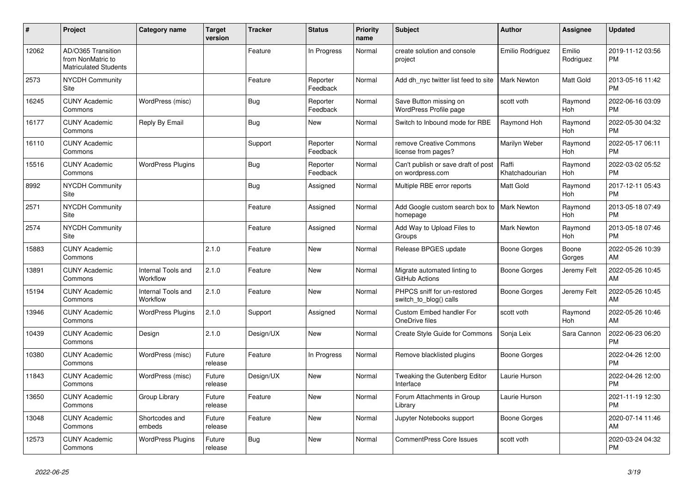| #     | Project                                                          | <b>Category name</b>           | Target<br>version | <b>Tracker</b> | <b>Status</b>        | <b>Priority</b><br>name | <b>Subject</b>                                          | <b>Author</b>           | <b>Assignee</b>       | <b>Updated</b>                |
|-------|------------------------------------------------------------------|--------------------------------|-------------------|----------------|----------------------|-------------------------|---------------------------------------------------------|-------------------------|-----------------------|-------------------------------|
| 12062 | AD/O365 Transition<br>from NonMatric to<br>Matriculated Students |                                |                   | Feature        | In Progress          | Normal                  | create solution and console<br>project                  | Emilio Rodriguez        | Emilio<br>Rodriguez   | 2019-11-12 03:56<br><b>PM</b> |
| 2573  | <b>NYCDH Community</b><br>Site                                   |                                |                   | Feature        | Reporter<br>Feedback | Normal                  | Add dh nyc twitter list feed to site                    | <b>Mark Newton</b>      | <b>Matt Gold</b>      | 2013-05-16 11:42<br><b>PM</b> |
| 16245 | <b>CUNY Academic</b><br>Commons                                  | WordPress (misc)               |                   | <b>Bug</b>     | Reporter<br>Feedback | Normal                  | Save Button missing on<br><b>WordPress Profile page</b> | scott voth              | Raymond<br>Hoh        | 2022-06-16 03:09<br><b>PM</b> |
| 16177 | <b>CUNY Academic</b><br>Commons                                  | Reply By Email                 |                   | Bug            | New                  | Normal                  | Switch to Inbound mode for RBE                          | Raymond Hoh             | Raymond<br>Hoh        | 2022-05-30 04:32<br><b>PM</b> |
| 16110 | <b>CUNY Academic</b><br>Commons                                  |                                |                   | Support        | Reporter<br>Feedback | Normal                  | remove Creative Commons<br>license from pages?          | Marilyn Weber           | Raymond<br><b>Hoh</b> | 2022-05-17 06:11<br><b>PM</b> |
| 15516 | <b>CUNY Academic</b><br>Commons                                  | <b>WordPress Plugins</b>       |                   | Bug            | Reporter<br>Feedback | Normal                  | Can't publish or save draft of post<br>on wordpress.com | Raffi<br>Khatchadourian | Raymond<br>Hoh        | 2022-03-02 05:52<br><b>PM</b> |
| 8992  | <b>NYCDH Community</b><br>Site                                   |                                |                   | <b>Bug</b>     | Assigned             | Normal                  | Multiple RBE error reports                              | Matt Gold               | Raymond<br>Hoh        | 2017-12-11 05:43<br><b>PM</b> |
| 2571  | <b>NYCDH Community</b><br>Site                                   |                                |                   | Feature        | Assigned             | Normal                  | Add Google custom search box to<br>homepage             | <b>Mark Newton</b>      | Raymond<br><b>Hoh</b> | 2013-05-18 07:49<br><b>PM</b> |
| 2574  | NYCDH Community<br>Site                                          |                                |                   | Feature        | Assigned             | Normal                  | Add Way to Upload Files to<br>Groups                    | Mark Newton             | Raymond<br>Hoh        | 2013-05-18 07:46<br><b>PM</b> |
| 15883 | <b>CUNY Academic</b><br>Commons                                  |                                | 2.1.0             | Feature        | New                  | Normal                  | Release BPGES update                                    | Boone Gorges            | Boone<br>Gorges       | 2022-05-26 10:39<br>AM        |
| 13891 | <b>CUNY Academic</b><br>Commons                                  | Internal Tools and<br>Workflow | 2.1.0             | Feature        | <b>New</b>           | Normal                  | Migrate automated linting to<br><b>GitHub Actions</b>   | Boone Gorges            | Jeremy Felt           | 2022-05-26 10:45<br>AM        |
| 15194 | <b>CUNY Academic</b><br>Commons                                  | Internal Tools and<br>Workflow | 2.1.0             | Feature        | <b>New</b>           | Normal                  | PHPCS sniff for un-restored<br>switch_to_blog() calls   | Boone Gorges            | Jeremy Felt           | 2022-05-26 10:45<br>AM        |
| 13946 | <b>CUNY Academic</b><br>Commons                                  | <b>WordPress Plugins</b>       | 2.1.0             | Support        | Assigned             | Normal                  | Custom Embed handler For<br>OneDrive files              | scott voth              | Raymond<br><b>Hoh</b> | 2022-05-26 10:46<br>AM        |
| 10439 | <b>CUNY Academic</b><br>Commons                                  | Design                         | 2.1.0             | Design/UX      | <b>New</b>           | Normal                  | Create Style Guide for Commons                          | Sonja Leix              | Sara Cannon           | 2022-06-23 06:20<br><b>PM</b> |
| 10380 | <b>CUNY Academic</b><br>Commons                                  | WordPress (misc)               | Future<br>release | Feature        | In Progress          | Normal                  | Remove blacklisted plugins                              | Boone Gorges            |                       | 2022-04-26 12:00<br><b>PM</b> |
| 11843 | <b>CUNY Academic</b><br>Commons                                  | WordPress (misc)               | Future<br>release | Design/UX      | <b>New</b>           | Normal                  | Tweaking the Gutenberg Editor<br>Interface              | Laurie Hurson           |                       | 2022-04-26 12:00<br><b>PM</b> |
| 13650 | <b>CUNY Academic</b><br>Commons                                  | Group Library                  | Future<br>release | Feature        | <b>New</b>           | Normal                  | Forum Attachments in Group<br>Library                   | Laurie Hurson           |                       | 2021-11-19 12:30<br><b>PM</b> |
| 13048 | <b>CUNY Academic</b><br>Commons                                  | Shortcodes and<br>embeds       | Future<br>release | Feature        | <b>New</b>           | Normal                  | Jupyter Notebooks support                               | Boone Gorges            |                       | 2020-07-14 11:46<br>AM        |
| 12573 | <b>CUNY Academic</b><br>Commons                                  | <b>WordPress Plugins</b>       | Future<br>release | <b>Bug</b>     | <b>New</b>           | Normal                  | <b>CommentPress Core Issues</b>                         | scott voth              |                       | 2020-03-24 04:32<br><b>PM</b> |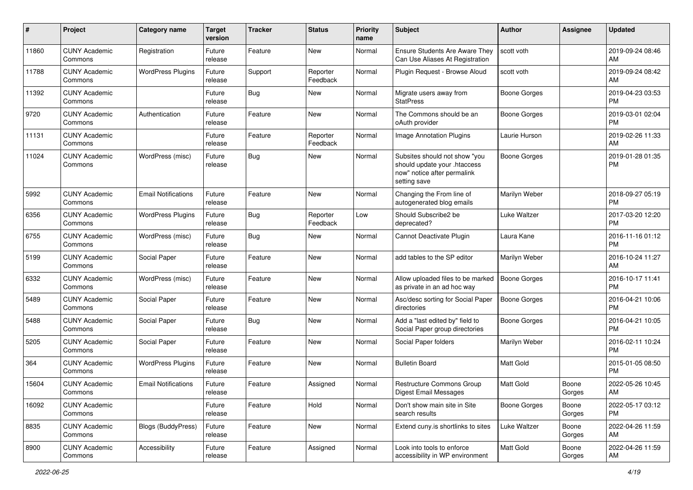| #     | Project                         | <b>Category name</b>       | <b>Target</b><br>version | <b>Tracker</b> | <b>Status</b>        | <b>Priority</b><br>name | <b>Subject</b>                                                                                               | Author              | Assignee        | <b>Updated</b>                |
|-------|---------------------------------|----------------------------|--------------------------|----------------|----------------------|-------------------------|--------------------------------------------------------------------------------------------------------------|---------------------|-----------------|-------------------------------|
| 11860 | <b>CUNY Academic</b><br>Commons | Registration               | Future<br>release        | Feature        | <b>New</b>           | Normal                  | <b>Ensure Students Are Aware They</b><br>Can Use Aliases At Registration                                     | scott voth          |                 | 2019-09-24 08:46<br>AM        |
| 11788 | <b>CUNY Academic</b><br>Commons | <b>WordPress Plugins</b>   | Future<br>release        | Support        | Reporter<br>Feedback | Normal                  | Plugin Request - Browse Aloud                                                                                | scott voth          |                 | 2019-09-24 08:42<br>AM        |
| 11392 | <b>CUNY Academic</b><br>Commons |                            | Future<br>release        | Bug            | <b>New</b>           | Normal                  | Migrate users away from<br><b>StatPress</b>                                                                  | <b>Boone Gorges</b> |                 | 2019-04-23 03:53<br><b>PM</b> |
| 9720  | <b>CUNY Academic</b><br>Commons | Authentication             | Future<br>release        | Feature        | <b>New</b>           | Normal                  | The Commons should be an<br>oAuth provider                                                                   | <b>Boone Gorges</b> |                 | 2019-03-01 02:04<br><b>PM</b> |
| 11131 | <b>CUNY Academic</b><br>Commons |                            | Future<br>release        | Feature        | Reporter<br>Feedback | Normal                  | <b>Image Annotation Plugins</b>                                                                              | Laurie Hurson       |                 | 2019-02-26 11:33<br>AM        |
| 11024 | <b>CUNY Academic</b><br>Commons | WordPress (misc)           | Future<br>release        | Bug            | <b>New</b>           | Normal                  | Subsites should not show "you<br>should update your .htaccess<br>now" notice after permalink<br>setting save | <b>Boone Gorges</b> |                 | 2019-01-28 01:35<br><b>PM</b> |
| 5992  | <b>CUNY Academic</b><br>Commons | <b>Email Notifications</b> | Future<br>release        | Feature        | <b>New</b>           | Normal                  | Changing the From line of<br>autogenerated blog emails                                                       | Marilyn Weber       |                 | 2018-09-27 05:19<br><b>PM</b> |
| 6356  | <b>CUNY Academic</b><br>Commons | <b>WordPress Plugins</b>   | Future<br>release        | Bug            | Reporter<br>Feedback | Low                     | Should Subscribe2 be<br>deprecated?                                                                          | Luke Waltzer        |                 | 2017-03-20 12:20<br><b>PM</b> |
| 6755  | <b>CUNY Academic</b><br>Commons | WordPress (misc)           | Future<br>release        | Bug            | <b>New</b>           | Normal                  | Cannot Deactivate Plugin                                                                                     | Laura Kane          |                 | 2016-11-16 01:12<br><b>PM</b> |
| 5199  | <b>CUNY Academic</b><br>Commons | Social Paper               | Future<br>release        | Feature        | <b>New</b>           | Normal                  | add tables to the SP editor                                                                                  | Marilyn Weber       |                 | 2016-10-24 11:27<br>AM        |
| 6332  | <b>CUNY Academic</b><br>Commons | WordPress (misc)           | Future<br>release        | Feature        | <b>New</b>           | Normal                  | Allow uploaded files to be marked<br>as private in an ad hoc way                                             | <b>Boone Gorges</b> |                 | 2016-10-17 11:41<br><b>PM</b> |
| 5489  | <b>CUNY Academic</b><br>Commons | Social Paper               | Future<br>release        | Feature        | <b>New</b>           | Normal                  | Asc/desc sorting for Social Paper<br>directories                                                             | <b>Boone Gorges</b> |                 | 2016-04-21 10:06<br><b>PM</b> |
| 5488  | <b>CUNY Academic</b><br>Commons | Social Paper               | Future<br>release        | Bug            | New                  | Normal                  | Add a "last edited by" field to<br>Social Paper group directories                                            | <b>Boone Gorges</b> |                 | 2016-04-21 10:05<br><b>PM</b> |
| 5205  | <b>CUNY Academic</b><br>Commons | Social Paper               | Future<br>release        | Feature        | <b>New</b>           | Normal                  | Social Paper folders                                                                                         | Marilyn Weber       |                 | 2016-02-11 10:24<br><b>PM</b> |
| 364   | <b>CUNY Academic</b><br>Commons | <b>WordPress Plugins</b>   | Future<br>release        | Feature        | <b>New</b>           | Normal                  | <b>Bulletin Board</b>                                                                                        | <b>Matt Gold</b>    |                 | 2015-01-05 08:50<br><b>PM</b> |
| 15604 | <b>CUNY Academic</b><br>Commons | <b>Email Notifications</b> | Future<br>release        | Feature        | Assigned             | Normal                  | Restructure Commons Group<br><b>Digest Email Messages</b>                                                    | Matt Gold           | Boone<br>Gorges | 2022-05-26 10:45<br>AM        |
| 16092 | <b>CUNY Academic</b><br>Commons |                            | Future<br>release        | Feature        | Hold                 | Normal                  | Don't show main site in Site<br>search results                                                               | Boone Gorges        | Boone<br>Gorges | 2022-05-17 03:12<br>PM        |
| 8835  | <b>CUNY Academic</b><br>Commons | <b>Blogs (BuddyPress)</b>  | Future<br>release        | Feature        | New                  | Normal                  | Extend cuny is shortlinks to sites                                                                           | Luke Waltzer        | Boone<br>Gorges | 2022-04-26 11:59<br>AM        |
| 8900  | <b>CUNY Academic</b><br>Commons | Accessibility              | Future<br>release        | Feature        | Assigned             | Normal                  | Look into tools to enforce<br>accessibility in WP environment                                                | Matt Gold           | Boone<br>Gorges | 2022-04-26 11:59<br>AM        |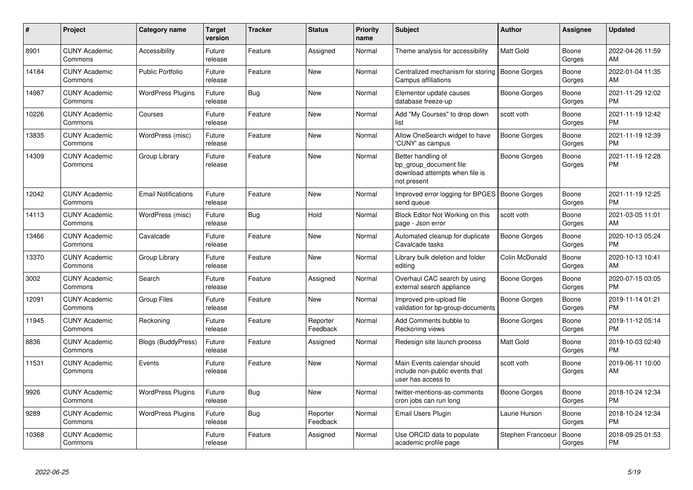| #     | <b>Project</b>                  | <b>Category name</b>       | <b>Target</b><br>version | <b>Tracker</b> | <b>Status</b>        | <b>Priority</b><br>name | <b>Subject</b>                                                                                | <b>Author</b>       | <b>Assignee</b> | <b>Updated</b>                |
|-------|---------------------------------|----------------------------|--------------------------|----------------|----------------------|-------------------------|-----------------------------------------------------------------------------------------------|---------------------|-----------------|-------------------------------|
| 8901  | <b>CUNY Academic</b><br>Commons | Accessibility              | Future<br>release        | Feature        | Assigned             | Normal                  | Theme analysis for accessibility                                                              | <b>Matt Gold</b>    | Boone<br>Gorges | 2022-04-26 11:59<br>AM        |
| 14184 | <b>CUNY Academic</b><br>Commons | <b>Public Portfolio</b>    | Future<br>release        | Feature        | <b>New</b>           | Normal                  | Centralized mechanism for storing<br><b>Campus affiliations</b>                               | <b>Boone Gorges</b> | Boone<br>Gorges | 2022-01-04 11:35<br>AM        |
| 14987 | <b>CUNY Academic</b><br>Commons | <b>WordPress Plugins</b>   | Future<br>release        | Bug            | <b>New</b>           | Normal                  | Elementor update causes<br>database freeze-up                                                 | Boone Gorges        | Boone<br>Gorges | 2021-11-29 12:02<br><b>PM</b> |
| 10226 | <b>CUNY Academic</b><br>Commons | Courses                    | Future<br>release        | Feature        | <b>New</b>           | Normal                  | Add "My Courses" to drop down<br>list                                                         | scott voth          | Boone<br>Gorges | 2021-11-19 12:42<br><b>PM</b> |
| 13835 | <b>CUNY Academic</b><br>Commons | WordPress (misc)           | Future<br>release        | Feature        | New                  | Normal                  | Allow OneSearch widget to have<br>'CUNY' as campus                                            | <b>Boone Gorges</b> | Boone<br>Gorges | 2021-11-19 12:39<br><b>PM</b> |
| 14309 | <b>CUNY Academic</b><br>Commons | Group Library              | Future<br>release        | Feature        | <b>New</b>           | Normal                  | Better handling of<br>bp group document file<br>download attempts when file is<br>not present | Boone Gorges        | Boone<br>Gorges | 2021-11-19 12:28<br><b>PM</b> |
| 12042 | <b>CUNY Academic</b><br>Commons | <b>Email Notifications</b> | Future<br>release        | Feature        | <b>New</b>           | Normal                  | Improved error logging for BPGES<br>send queue                                                | <b>Boone Gorges</b> | Boone<br>Gorges | 2021-11-19 12:25<br><b>PM</b> |
| 14113 | <b>CUNY Academic</b><br>Commons | WordPress (misc)           | Future<br>release        | Bug            | Hold                 | Normal                  | Block Editor Not Working on this<br>page - Json error                                         | scott voth          | Boone<br>Gorges | 2021-03-05 11:01<br>AM        |
| 13466 | <b>CUNY Academic</b><br>Commons | Cavalcade                  | Future<br>release        | Feature        | <b>New</b>           | Normal                  | Automated cleanup for duplicate<br>Cavalcade tasks                                            | Boone Gorges        | Boone<br>Gorges | 2020-10-13 05:24<br><b>PM</b> |
| 13370 | <b>CUNY Academic</b><br>Commons | Group Library              | Future<br>release        | Feature        | <b>New</b>           | Normal                  | Library bulk deletion and folder<br>editing                                                   | Colin McDonald      | Boone<br>Gorges | 2020-10-13 10:41<br>AM        |
| 3002  | <b>CUNY Academic</b><br>Commons | Search                     | Future<br>release        | Feature        | Assigned             | Normal                  | Overhaul CAC search by using<br>external search appliance                                     | <b>Boone Gorges</b> | Boone<br>Gorges | 2020-07-15 03:05<br><b>PM</b> |
| 12091 | <b>CUNY Academic</b><br>Commons | <b>Group Files</b>         | Future<br>release        | Feature        | <b>New</b>           | Normal                  | Improved pre-upload file<br>validation for bp-group-documents                                 | Boone Gorges        | Boone<br>Gorges | 2019-11-14 01:21<br><b>PM</b> |
| 11945 | <b>CUNY Academic</b><br>Commons | Reckoning                  | Future<br>release        | Feature        | Reporter<br>Feedback | Normal                  | Add Comments bubble to<br>Reckoning views                                                     | Boone Gorges        | Boone<br>Gorges | 2019-11-12 05:14<br><b>PM</b> |
| 8836  | <b>CUNY Academic</b><br>Commons | Blogs (BuddyPress)         | Future<br>release        | Feature        | Assigned             | Normal                  | Redesign site launch process                                                                  | Matt Gold           | Boone<br>Gorges | 2019-10-03 02:49<br><b>PM</b> |
| 11531 | <b>CUNY Academic</b><br>Commons | Events                     | Future<br>release        | Feature        | New                  | Normal                  | Main Events calendar should<br>include non-public events that<br>user has access to           | scott voth          | Boone<br>Gorges | 2019-06-11 10:00<br>AM        |
| 9926  | <b>CUNY Academic</b><br>Commons | <b>WordPress Plugins</b>   | Future<br>release        | Bug            | <b>New</b>           | Normal                  | twitter-mentions-as-comments<br>cron jobs can run long                                        | Boone Gorges        | Boone<br>Gorges | 2018-10-24 12:34<br><b>PM</b> |
| 9289  | <b>CUNY Academic</b><br>Commons | <b>WordPress Plugins</b>   | Future<br>release        | Bug            | Reporter<br>Feedback | Normal                  | <b>Email Users Plugin</b>                                                                     | Laurie Hurson       | Boone<br>Gorges | 2018-10-24 12:34<br><b>PM</b> |
| 10368 | <b>CUNY Academic</b><br>Commons |                            | Future<br>release        | Feature        | Assigned             | Normal                  | Use ORCID data to populate<br>academic profile page                                           | Stephen Francoeur   | Boone<br>Gorges | 2018-09-25 01:53<br><b>PM</b> |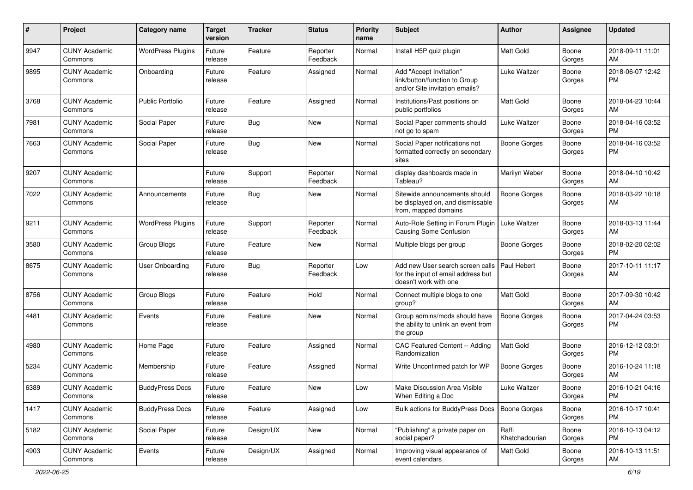| #    | Project                         | <b>Category name</b>     | <b>Target</b><br>version | <b>Tracker</b> | <b>Status</b>        | <b>Priority</b><br>name | <b>Subject</b>                                                                                  | <b>Author</b>           | <b>Assignee</b> | <b>Updated</b>                |
|------|---------------------------------|--------------------------|--------------------------|----------------|----------------------|-------------------------|-------------------------------------------------------------------------------------------------|-------------------------|-----------------|-------------------------------|
| 9947 | <b>CUNY Academic</b><br>Commons | <b>WordPress Plugins</b> | Future<br>release        | Feature        | Reporter<br>Feedback | Normal                  | Install H5P quiz plugin                                                                         | <b>Matt Gold</b>        | Boone<br>Gorges | 2018-09-11 11:01<br>AM        |
| 9895 | <b>CUNY Academic</b><br>Commons | Onboarding               | Future<br>release        | Feature        | Assigned             | Normal                  | Add "Accept Invitation"<br>link/button/function to Group<br>and/or Site invitation emails?      | Luke Waltzer            | Boone<br>Gorges | 2018-06-07 12:42<br><b>PM</b> |
| 3768 | <b>CUNY Academic</b><br>Commons | <b>Public Portfolio</b>  | Future<br>release        | Feature        | Assigned             | Normal                  | Institutions/Past positions on<br>public portfolios                                             | Matt Gold               | Boone<br>Gorges | 2018-04-23 10:44<br>AM        |
| 7981 | <b>CUNY Academic</b><br>Commons | Social Paper             | Future<br>release        | <b>Bug</b>     | <b>New</b>           | Normal                  | Social Paper comments should<br>not go to spam                                                  | Luke Waltzer            | Boone<br>Gorges | 2018-04-16 03:52<br><b>PM</b> |
| 7663 | <b>CUNY Academic</b><br>Commons | Social Paper             | Future<br>release        | Bug            | New                  | Normal                  | Social Paper notifications not<br>formatted correctly on secondary<br>sites                     | Boone Gorges            | Boone<br>Gorges | 2018-04-16 03:52<br><b>PM</b> |
| 9207 | <b>CUNY Academic</b><br>Commons |                          | Future<br>release        | Support        | Reporter<br>Feedback | Normal                  | display dashboards made in<br>Tableau?                                                          | Marilyn Weber           | Boone<br>Gorges | 2018-04-10 10:42<br>AM        |
| 7022 | <b>CUNY Academic</b><br>Commons | Announcements            | Future<br>release        | Bug            | <b>New</b>           | Normal                  | Sitewide announcements should<br>be displayed on, and dismissable<br>from, mapped domains       | <b>Boone Gorges</b>     | Boone<br>Gorges | 2018-03-22 10:18<br>AM        |
| 9211 | <b>CUNY Academic</b><br>Commons | <b>WordPress Plugins</b> | Future<br>release        | Support        | Reporter<br>Feedback | Normal                  | Auto-Role Setting in Forum Plugin<br><b>Causing Some Confusion</b>                              | Luke Waltzer            | Boone<br>Gorges | 2018-03-13 11:44<br>AM        |
| 3580 | <b>CUNY Academic</b><br>Commons | Group Blogs              | Future<br>release        | Feature        | New                  | Normal                  | Multiple blogs per group                                                                        | <b>Boone Gorges</b>     | Boone<br>Gorges | 2018-02-20 02:02<br><b>PM</b> |
| 8675 | <b>CUNY Academic</b><br>Commons | <b>User Onboarding</b>   | Future<br>release        | <b>Bug</b>     | Reporter<br>Feedback | Low                     | Add new User search screen calls<br>for the input of email address but<br>doesn't work with one | Paul Hebert             | Boone<br>Gorges | 2017-10-11 11:17<br>AM        |
| 8756 | <b>CUNY Academic</b><br>Commons | Group Blogs              | Future<br>release        | Feature        | Hold                 | Normal                  | Connect multiple blogs to one<br>group?                                                         | Matt Gold               | Boone<br>Gorges | 2017-09-30 10:42<br>AM        |
| 4481 | <b>CUNY Academic</b><br>Commons | Events                   | Future<br>release        | Feature        | New                  | Normal                  | Group admins/mods should have<br>the ability to unlink an event from<br>the group               | <b>Boone Gorges</b>     | Boone<br>Gorges | 2017-04-24 03:53<br><b>PM</b> |
| 4980 | <b>CUNY Academic</b><br>Commons | Home Page                | Future<br>release        | Feature        | Assigned             | Normal                  | CAC Featured Content -- Adding<br>Randomization                                                 | Matt Gold               | Boone<br>Gorges | 2016-12-12 03:01<br><b>PM</b> |
| 5234 | <b>CUNY Academic</b><br>Commons | Membership               | Future<br>release        | Feature        | Assigned             | Normal                  | Write Unconfirmed patch for WP                                                                  | <b>Boone Gorges</b>     | Boone<br>Gorges | 2016-10-24 11:18<br>AM        |
| 6389 | <b>CUNY Academic</b><br>Commons | <b>BuddyPress Docs</b>   | Future<br>release        | Feature        | New                  | Low                     | Make Discussion Area Visible<br>When Editing a Doc                                              | Luke Waltzer            | Boone<br>Gorges | 2016-10-21 04:16<br>PM        |
| 1417 | <b>CUNY Academic</b><br>Commons | <b>BuddyPress Docs</b>   | Future<br>release        | Feature        | Assigned             | Low                     | Bulk actions for BuddyPress Docs                                                                | <b>Boone Gorges</b>     | Boone<br>Gorges | 2016-10-17 10:41<br>PM        |
| 5182 | <b>CUNY Academic</b><br>Commons | Social Paper             | Future<br>release        | Design/UX      | New                  | Normal                  | "Publishing" a private paper on<br>social paper?                                                | Raffi<br>Khatchadourian | Boone<br>Gorges | 2016-10-13 04:12<br><b>PM</b> |
| 4903 | <b>CUNY Academic</b><br>Commons | Events                   | Future<br>release        | Design/UX      | Assigned             | Normal                  | Improving visual appearance of<br>event calendars                                               | Matt Gold               | Boone<br>Gorges | 2016-10-13 11:51<br>AM        |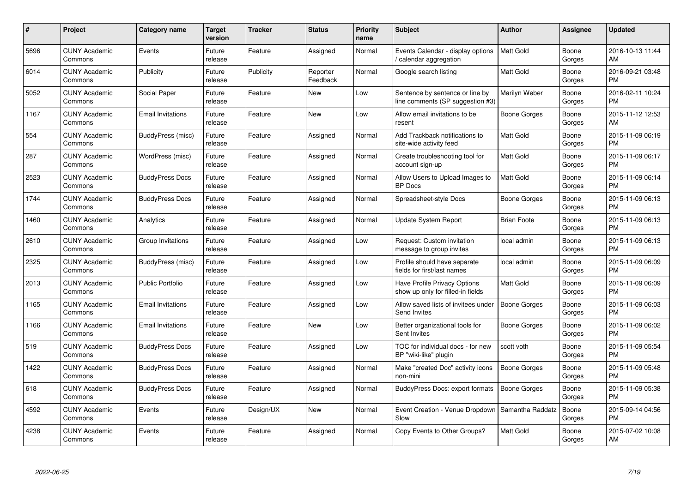| #    | Project                         | Category name            | Target<br>version | <b>Tracker</b> | <b>Status</b>        | <b>Priority</b><br>name | <b>Subject</b>                                                      | <b>Author</b>       | Assignee        | <b>Updated</b>                |
|------|---------------------------------|--------------------------|-------------------|----------------|----------------------|-------------------------|---------------------------------------------------------------------|---------------------|-----------------|-------------------------------|
| 5696 | <b>CUNY Academic</b><br>Commons | Events                   | Future<br>release | Feature        | Assigned             | Normal                  | Events Calendar - display options<br>calendar aggregation           | <b>Matt Gold</b>    | Boone<br>Gorges | 2016-10-13 11:44<br>AM        |
| 6014 | <b>CUNY Academic</b><br>Commons | Publicity                | Future<br>release | Publicity      | Reporter<br>Feedback | Normal                  | Google search listing                                               | <b>Matt Gold</b>    | Boone<br>Gorges | 2016-09-21 03:48<br><b>PM</b> |
| 5052 | <b>CUNY Academic</b><br>Commons | Social Paper             | Future<br>release | Feature        | <b>New</b>           | Low                     | Sentence by sentence or line by<br>line comments (SP suggestion #3) | Marilyn Weber       | Boone<br>Gorges | 2016-02-11 10:24<br><b>PM</b> |
| 1167 | <b>CUNY Academic</b><br>Commons | <b>Email Invitations</b> | Future<br>release | Feature        | <b>New</b>           | Low                     | Allow email invitations to be<br>resent                             | Boone Gorges        | Boone<br>Gorges | 2015-11-12 12:53<br>AM        |
| 554  | <b>CUNY Academic</b><br>Commons | BuddyPress (misc)        | Future<br>release | Feature        | Assigned             | Normal                  | Add Trackback notifications to<br>site-wide activity feed           | <b>Matt Gold</b>    | Boone<br>Gorges | 2015-11-09 06:19<br><b>PM</b> |
| 287  | <b>CUNY Academic</b><br>Commons | WordPress (misc)         | Future<br>release | Feature        | Assigned             | Normal                  | Create troubleshooting tool for<br>account sign-up                  | <b>Matt Gold</b>    | Boone<br>Gorges | 2015-11-09 06:17<br><b>PM</b> |
| 2523 | <b>CUNY Academic</b><br>Commons | <b>BuddyPress Docs</b>   | Future<br>release | Feature        | Assigned             | Normal                  | Allow Users to Upload Images to<br><b>BP</b> Docs                   | Matt Gold           | Boone<br>Gorges | 2015-11-09 06:14<br><b>PM</b> |
| 1744 | <b>CUNY Academic</b><br>Commons | <b>BuddyPress Docs</b>   | Future<br>release | Feature        | Assigned             | Normal                  | Spreadsheet-style Docs                                              | Boone Gorges        | Boone<br>Gorges | 2015-11-09 06:13<br><b>PM</b> |
| 1460 | <b>CUNY Academic</b><br>Commons | Analytics                | Future<br>release | Feature        | Assigned             | Normal                  | <b>Update System Report</b>                                         | <b>Brian Foote</b>  | Boone<br>Gorges | 2015-11-09 06:13<br><b>PM</b> |
| 2610 | <b>CUNY Academic</b><br>Commons | Group Invitations        | Future<br>release | Feature        | Assigned             | Low                     | Request: Custom invitation<br>message to group invites              | local admin         | Boone<br>Gorges | 2015-11-09 06:13<br><b>PM</b> |
| 2325 | <b>CUNY Academic</b><br>Commons | BuddyPress (misc)        | Future<br>release | Feature        | Assigned             | Low                     | Profile should have separate<br>fields for first/last names         | local admin         | Boone<br>Gorges | 2015-11-09 06:09<br><b>PM</b> |
| 2013 | <b>CUNY Academic</b><br>Commons | <b>Public Portfolio</b>  | Future<br>release | Feature        | Assigned             | Low                     | Have Profile Privacy Options<br>show up only for filled-in fields   | Matt Gold           | Boone<br>Gorges | 2015-11-09 06:09<br><b>PM</b> |
| 1165 | <b>CUNY Academic</b><br>Commons | <b>Email Invitations</b> | Future<br>release | Feature        | Assigned             | Low                     | Allow saved lists of invitees under<br>Send Invites                 | Boone Gorges        | Boone<br>Gorges | 2015-11-09 06:03<br><b>PM</b> |
| 1166 | <b>CUNY Academic</b><br>Commons | <b>Email Invitations</b> | Future<br>release | Feature        | <b>New</b>           | Low                     | Better organizational tools for<br>Sent Invites                     | Boone Gorges        | Boone<br>Gorges | 2015-11-09 06:02<br><b>PM</b> |
| 519  | <b>CUNY Academic</b><br>Commons | <b>BuddyPress Docs</b>   | Future<br>release | Feature        | Assigned             | Low                     | TOC for individual docs - for new<br>BP "wiki-like" plugin          | scott voth          | Boone<br>Gorges | 2015-11-09 05:54<br><b>PM</b> |
| 1422 | <b>CUNY Academic</b><br>Commons | <b>BuddyPress Docs</b>   | Future<br>release | Feature        | Assigned             | Normal                  | Make "created Doc" activity icons<br>non-mini                       | <b>Boone Gorges</b> | Boone<br>Gorges | 2015-11-09 05:48<br><b>PM</b> |
| 618  | <b>CUNY Academic</b><br>Commons | <b>BuddyPress Docs</b>   | Future<br>release | Feature        | Assigned             | Normal                  | BuddyPress Docs: export formats                                     | Boone Gorges        | Boone<br>Gorges | 2015-11-09 05:38<br><b>PM</b> |
| 4592 | <b>CUNY Academic</b><br>Commons | Events                   | Future<br>release | Design/UX      | <b>New</b>           | Normal                  | Event Creation - Venue Dropdown<br>Slow                             | Samantha Raddatz    | Boone<br>Gorges | 2015-09-14 04:56<br><b>PM</b> |
| 4238 | CUNY Academic<br>Commons        | Events                   | Future<br>release | Feature        | Assigned             | Normal                  | Copy Events to Other Groups?                                        | <b>Matt Gold</b>    | Boone<br>Gorges | 2015-07-02 10:08<br>AM        |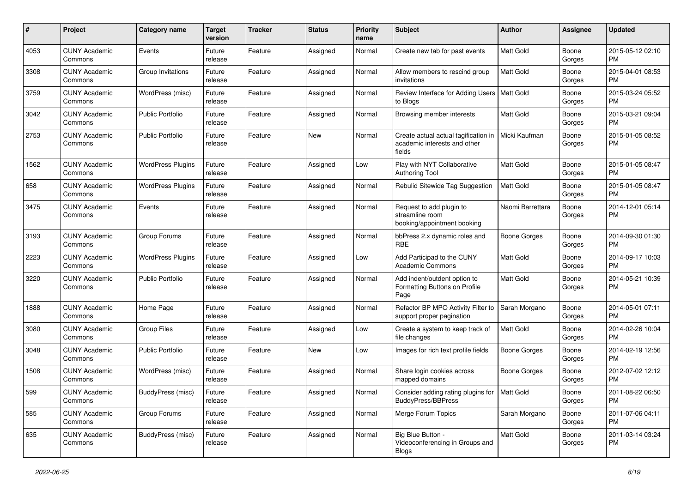| #    | Project                         | <b>Category name</b>     | <b>Target</b><br>version | <b>Tracker</b> | <b>Status</b> | <b>Priority</b><br>name | Subject                                                                                        | Author              | Assignee        | <b>Updated</b>                |
|------|---------------------------------|--------------------------|--------------------------|----------------|---------------|-------------------------|------------------------------------------------------------------------------------------------|---------------------|-----------------|-------------------------------|
| 4053 | <b>CUNY Academic</b><br>Commons | Events                   | Future<br>release        | Feature        | Assigned      | Normal                  | Create new tab for past events                                                                 | <b>Matt Gold</b>    | Boone<br>Gorges | 2015-05-12 02:10<br><b>PM</b> |
| 3308 | <b>CUNY Academic</b><br>Commons | Group Invitations        | Future<br>release        | Feature        | Assigned      | Normal                  | Allow members to rescind group<br>invitations                                                  | <b>Matt Gold</b>    | Boone<br>Gorges | 2015-04-01 08:53<br><b>PM</b> |
| 3759 | <b>CUNY Academic</b><br>Commons | WordPress (misc)         | Future<br>release        | Feature        | Assigned      | Normal                  | Review Interface for Adding Users   Matt Gold<br>to Blogs                                      |                     | Boone<br>Gorges | 2015-03-24 05:52<br><b>PM</b> |
| 3042 | <b>CUNY Academic</b><br>Commons | <b>Public Portfolio</b>  | Future<br>release        | Feature        | Assigned      | Normal                  | Browsing member interests                                                                      | <b>Matt Gold</b>    | Boone<br>Gorges | 2015-03-21 09:04<br><b>PM</b> |
| 2753 | <b>CUNY Academic</b><br>Commons | <b>Public Portfolio</b>  | Future<br>release        | Feature        | New           | Normal                  | Create actual actual tagification in   Micki Kaufman<br>academic interests and other<br>fields |                     | Boone<br>Gorges | 2015-01-05 08:52<br><b>PM</b> |
| 1562 | <b>CUNY Academic</b><br>Commons | <b>WordPress Plugins</b> | Future<br>release        | Feature        | Assigned      | Low                     | Play with NYT Collaborative<br><b>Authoring Tool</b>                                           | <b>Matt Gold</b>    | Boone<br>Gorges | 2015-01-05 08:47<br><b>PM</b> |
| 658  | <b>CUNY Academic</b><br>Commons | <b>WordPress Plugins</b> | Future<br>release        | Feature        | Assigned      | Normal                  | Rebulid Sitewide Tag Suggestion                                                                | Matt Gold           | Boone<br>Gorges | 2015-01-05 08:47<br><b>PM</b> |
| 3475 | <b>CUNY Academic</b><br>Commons | Events                   | Future<br>release        | Feature        | Assigned      | Normal                  | Request to add plugin to<br>streamline room<br>booking/appointment booking                     | Naomi Barrettara    | Boone<br>Gorges | 2014-12-01 05:14<br><b>PM</b> |
| 3193 | <b>CUNY Academic</b><br>Commons | Group Forums             | Future<br>release        | Feature        | Assigned      | Normal                  | bbPress 2.x dynamic roles and<br><b>RBE</b>                                                    | Boone Gorges        | Boone<br>Gorges | 2014-09-30 01:30<br><b>PM</b> |
| 2223 | <b>CUNY Academic</b><br>Commons | <b>WordPress Plugins</b> | Future<br>release        | Feature        | Assigned      | Low                     | Add Participad to the CUNY<br><b>Academic Commons</b>                                          | <b>Matt Gold</b>    | Boone<br>Gorges | 2014-09-17 10:03<br><b>PM</b> |
| 3220 | <b>CUNY Academic</b><br>Commons | <b>Public Portfolio</b>  | Future<br>release        | Feature        | Assigned      | Normal                  | Add indent/outdent option to<br>Formatting Buttons on Profile<br>Page                          | <b>Matt Gold</b>    | Boone<br>Gorges | 2014-05-21 10:39<br><b>PM</b> |
| 1888 | <b>CUNY Academic</b><br>Commons | Home Page                | Future<br>release        | Feature        | Assigned      | Normal                  | Refactor BP MPO Activity Filter to<br>support proper pagination                                | Sarah Morgano       | Boone<br>Gorges | 2014-05-01 07:11<br><b>PM</b> |
| 3080 | <b>CUNY Academic</b><br>Commons | <b>Group Files</b>       | Future<br>release        | Feature        | Assigned      | Low                     | Create a system to keep track of<br>file changes                                               | <b>Matt Gold</b>    | Boone<br>Gorges | 2014-02-26 10:04<br><b>PM</b> |
| 3048 | <b>CUNY Academic</b><br>Commons | <b>Public Portfolio</b>  | Future<br>release        | Feature        | New           | Low                     | Images for rich text profile fields                                                            | Boone Gorges        | Boone<br>Gorges | 2014-02-19 12:56<br><b>PM</b> |
| 1508 | <b>CUNY Academic</b><br>Commons | WordPress (misc)         | Future<br>release        | Feature        | Assigned      | Normal                  | Share login cookies across<br>mapped domains                                                   | <b>Boone Gorges</b> | Boone<br>Gorges | 2012-07-02 12:12<br><b>PM</b> |
| 599  | <b>CUNY Academic</b><br>Commons | BuddyPress (misc)        | Future<br>release        | Feature        | Assigned      | Normal                  | Consider adding rating plugins for   Matt Gold<br>BuddyPress/BBPress                           |                     | Boone<br>Gorges | 2011-08-22 06:50<br><b>PM</b> |
| 585  | <b>CUNY Academic</b><br>Commons | Group Forums             | Future<br>release        | Feature        | Assigned      | Normal                  | Merge Forum Topics                                                                             | Sarah Morgano       | Boone<br>Gorges | 2011-07-06 04:11<br><b>PM</b> |
| 635  | <b>CUNY Academic</b><br>Commons | BuddyPress (misc)        | Future<br>release        | Feature        | Assigned      | Normal                  | Big Blue Button -<br>Videoconferencing in Groups and<br>Blogs                                  | Matt Gold           | Boone<br>Gorges | 2011-03-14 03:24<br>PM        |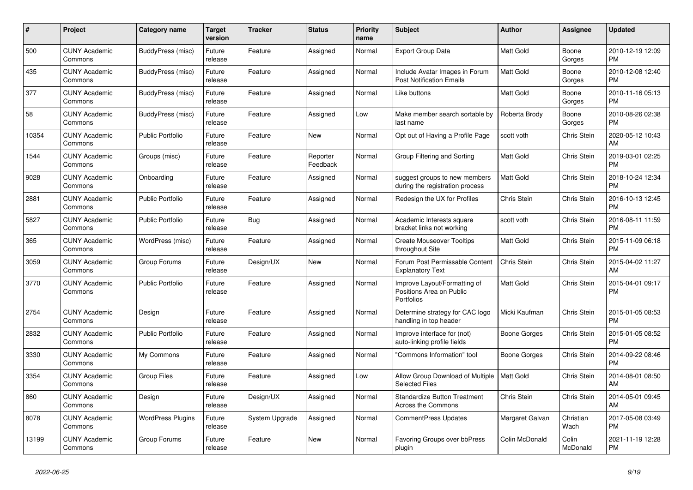| $\pmb{\#}$ | <b>Project</b>                  | Category name            | <b>Target</b><br>version | <b>Tracker</b> | <b>Status</b>        | <b>Priority</b><br>name | <b>Subject</b>                                                         | <b>Author</b>      | <b>Assignee</b>   | <b>Updated</b>                |
|------------|---------------------------------|--------------------------|--------------------------|----------------|----------------------|-------------------------|------------------------------------------------------------------------|--------------------|-------------------|-------------------------------|
| 500        | <b>CUNY Academic</b><br>Commons | BuddyPress (misc)        | Future<br>release        | Feature        | Assigned             | Normal                  | <b>Export Group Data</b>                                               | <b>Matt Gold</b>   | Boone<br>Gorges   | 2010-12-19 12:09<br><b>PM</b> |
| 435        | <b>CUNY Academic</b><br>Commons | BuddyPress (misc)        | Future<br>release        | Feature        | Assigned             | Normal                  | Include Avatar Images in Forum<br><b>Post Notification Emails</b>      | <b>Matt Gold</b>   | Boone<br>Gorges   | 2010-12-08 12:40<br><b>PM</b> |
| 377        | <b>CUNY Academic</b><br>Commons | BuddyPress (misc)        | Future<br>release        | Feature        | Assigned             | Normal                  | Like buttons                                                           | Matt Gold          | Boone<br>Gorges   | 2010-11-16 05:13<br><b>PM</b> |
| 58         | <b>CUNY Academic</b><br>Commons | BuddyPress (misc)        | Future<br>release        | Feature        | Assigned             | Low                     | Make member search sortable by<br>last name                            | Roberta Brody      | Boone<br>Gorges   | 2010-08-26 02:38<br><b>PM</b> |
| 10354      | <b>CUNY Academic</b><br>Commons | <b>Public Portfolio</b>  | Future<br>release        | Feature        | New                  | Normal                  | Opt out of Having a Profile Page                                       | scott voth         | Chris Stein       | 2020-05-12 10:43<br>AM        |
| 1544       | <b>CUNY Academic</b><br>Commons | Groups (misc)            | Future<br>release        | Feature        | Reporter<br>Feedback | Normal                  | Group Filtering and Sorting                                            | Matt Gold          | Chris Stein       | 2019-03-01 02:25<br><b>PM</b> |
| 9028       | <b>CUNY Academic</b><br>Commons | Onboarding               | Future<br>release        | Feature        | Assigned             | Normal                  | suggest groups to new members<br>during the registration process       | <b>Matt Gold</b>   | Chris Stein       | 2018-10-24 12:34<br><b>PM</b> |
| 2881       | <b>CUNY Academic</b><br>Commons | <b>Public Portfolio</b>  | Future<br>release        | Feature        | Assigned             | Normal                  | Redesign the UX for Profiles                                           | Chris Stein        | Chris Stein       | 2016-10-13 12:45<br><b>PM</b> |
| 5827       | <b>CUNY Academic</b><br>Commons | <b>Public Portfolio</b>  | Future<br>release        | <b>Bug</b>     | Assigned             | Normal                  | Academic Interests square<br>bracket links not working                 | scott voth         | Chris Stein       | 2016-08-11 11:59<br><b>PM</b> |
| 365        | <b>CUNY Academic</b><br>Commons | WordPress (misc)         | Future<br>release        | Feature        | Assigned             | Normal                  | <b>Create Mouseover Tooltips</b><br>throughout Site                    | Matt Gold          | Chris Stein       | 2015-11-09 06:18<br><b>PM</b> |
| 3059       | <b>CUNY Academic</b><br>Commons | Group Forums             | Future<br>release        | Design/UX      | <b>New</b>           | Normal                  | Forum Post Permissable Content<br><b>Explanatory Text</b>              | Chris Stein        | Chris Stein       | 2015-04-02 11:27<br>AM        |
| 3770       | <b>CUNY Academic</b><br>Commons | <b>Public Portfolio</b>  | Future<br>release        | Feature        | Assigned             | Normal                  | Improve Layout/Formatting of<br>Positions Area on Public<br>Portfolios | Matt Gold          | Chris Stein       | 2015-04-01 09:17<br><b>PM</b> |
| 2754       | <b>CUNY Academic</b><br>Commons | Design                   | Future<br>release        | Feature        | Assigned             | Normal                  | Determine strategy for CAC logo<br>handling in top header              | Micki Kaufman      | Chris Stein       | 2015-01-05 08:53<br><b>PM</b> |
| 2832       | <b>CUNY Academic</b><br>Commons | <b>Public Portfolio</b>  | Future<br>release        | Feature        | Assigned             | Normal                  | Improve interface for (not)<br>auto-linking profile fields             | Boone Gorges       | Chris Stein       | 2015-01-05 08:52<br><b>PM</b> |
| 3330       | <b>CUNY Academic</b><br>Commons | My Commons               | Future<br>release        | Feature        | Assigned             | Normal                  | 'Commons Information" tool                                             | Boone Gorges       | Chris Stein       | 2014-09-22 08:46<br><b>PM</b> |
| 3354       | <b>CUNY Academic</b><br>Commons | <b>Group Files</b>       | Future<br>release        | Feature        | Assigned             | Low                     | Allow Group Download of Multiple<br><b>Selected Files</b>              | <b>Matt Gold</b>   | Chris Stein       | 2014-08-01 08:50<br>AM        |
| 860        | <b>CUNY Academic</b><br>Commons | Design                   | Future<br>release        | Design/UX      | Assigned             | Normal                  | <b>Standardize Button Treatment</b><br>Across the Commons              | <b>Chris Stein</b> | Chris Stein       | 2014-05-01 09:45<br>AM        |
| 8078       | <b>CUNY Academic</b><br>Commons | <b>WordPress Plugins</b> | Future<br>release        | System Upgrade | Assigned             | Normal                  | <b>CommentPress Updates</b>                                            | Margaret Galvan    | Christian<br>Wach | 2017-05-08 03:49<br><b>PM</b> |
| 13199      | <b>CUNY Academic</b><br>Commons | Group Forums             | Future<br>release        | Feature        | <b>New</b>           | Normal                  | Favoring Groups over bbPress<br>plugin                                 | Colin McDonald     | Colin<br>McDonald | 2021-11-19 12:28<br>PM        |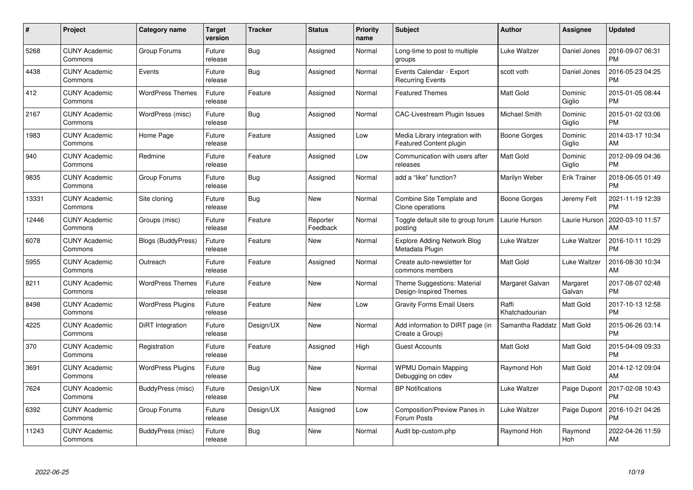| $\#$  | Project                         | Category name            | <b>Target</b><br>version | <b>Tracker</b> | <b>Status</b>        | <b>Priority</b><br>name | <b>Subject</b>                                            | Author                  | Assignee            | <b>Updated</b>                |
|-------|---------------------------------|--------------------------|--------------------------|----------------|----------------------|-------------------------|-----------------------------------------------------------|-------------------------|---------------------|-------------------------------|
| 5268  | <b>CUNY Academic</b><br>Commons | Group Forums             | Future<br>release        | <b>Bug</b>     | Assigned             | Normal                  | Long-time to post to multiple<br>groups                   | Luke Waltzer            | Daniel Jones        | 2016-09-07 06:31<br><b>PM</b> |
| 4438  | <b>CUNY Academic</b><br>Commons | Events                   | Future<br>release        | <b>Bug</b>     | Assigned             | Normal                  | Events Calendar - Export<br><b>Recurring Events</b>       | scott voth              | Daniel Jones        | 2016-05-23 04:25<br><b>PM</b> |
| 412   | <b>CUNY Academic</b><br>Commons | <b>WordPress Themes</b>  | Future<br>release        | Feature        | Assigned             | Normal                  | <b>Featured Themes</b>                                    | <b>Matt Gold</b>        | Dominic<br>Giglio   | 2015-01-05 08:44<br><b>PM</b> |
| 2167  | <b>CUNY Academic</b><br>Commons | WordPress (misc)         | Future<br>release        | Bug            | Assigned             | Normal                  | <b>CAC-Livestream Plugin Issues</b>                       | Michael Smith           | Dominic<br>Giglio   | 2015-01-02 03:06<br><b>PM</b> |
| 1983  | <b>CUNY Academic</b><br>Commons | Home Page                | Future<br>release        | Feature        | Assigned             | Low                     | Media Library integration with<br>Featured Content plugin | Boone Gorges            | Dominic<br>Giglio   | 2014-03-17 10:34<br>AM        |
| 940   | <b>CUNY Academic</b><br>Commons | Redmine                  | Future<br>release        | Feature        | Assigned             | Low                     | Communication with users after<br>releases                | <b>Matt Gold</b>        | Dominic<br>Giglio   | 2012-09-09 04:36<br><b>PM</b> |
| 9835  | <b>CUNY Academic</b><br>Commons | Group Forums             | Future<br>release        | Bug            | Assigned             | Normal                  | add a "like" function?                                    | Marilyn Weber           | <b>Erik Trainer</b> | 2018-06-05 01:49<br><b>PM</b> |
| 13331 | <b>CUNY Academic</b><br>Commons | Site cloning             | Future<br>release        | Bug            | <b>New</b>           | Normal                  | Combine Site Template and<br>Clone operations             | Boone Gorges            | Jeremy Felt         | 2021-11-19 12:39<br><b>PM</b> |
| 12446 | <b>CUNY Academic</b><br>Commons | Groups (misc)            | Future<br>release        | Feature        | Reporter<br>Feedback | Normal                  | Toggle default site to group forum<br>posting             | Laurie Hurson           | Laurie Hurson       | 2020-03-10 11:57<br>AM        |
| 6078  | <b>CUNY Academic</b><br>Commons | Blogs (BuddyPress)       | Future<br>release        | Feature        | <b>New</b>           | Normal                  | <b>Explore Adding Network Blog</b><br>Metadata Plugin     | Luke Waltzer            | Luke Waltzer        | 2016-10-11 10:29<br><b>PM</b> |
| 5955  | <b>CUNY Academic</b><br>Commons | Outreach                 | Future<br>release        | Feature        | Assigned             | Normal                  | Create auto-newsletter for<br>commons members             | <b>Matt Gold</b>        | Luke Waltzer        | 2016-08-30 10:34<br>AM        |
| 8211  | <b>CUNY Academic</b><br>Commons | <b>WordPress Themes</b>  | Future<br>release        | Feature        | <b>New</b>           | Normal                  | Theme Suggestions: Material<br>Design-Inspired Themes     | Margaret Galvan         | Margaret<br>Galvan  | 2017-08-07 02:48<br><b>PM</b> |
| 8498  | <b>CUNY Academic</b><br>Commons | <b>WordPress Plugins</b> | Future<br>release        | Feature        | <b>New</b>           | Low                     | <b>Gravity Forms Email Users</b>                          | Raffi<br>Khatchadourian | Matt Gold           | 2017-10-13 12:58<br><b>PM</b> |
| 4225  | <b>CUNY Academic</b><br>Commons | DiRT Integration         | Future<br>release        | Design/UX      | <b>New</b>           | Normal                  | Add information to DIRT page (in<br>Create a Group)       | Samantha Raddatz        | <b>Matt Gold</b>    | 2015-06-26 03:14<br><b>PM</b> |
| 370   | <b>CUNY Academic</b><br>Commons | Registration             | Future<br>release        | Feature        | Assigned             | High                    | <b>Guest Accounts</b>                                     | <b>Matt Gold</b>        | Matt Gold           | 2015-04-09 09:33<br><b>PM</b> |
| 3691  | <b>CUNY Academic</b><br>Commons | <b>WordPress Plugins</b> | Future<br>release        | Bug            | <b>New</b>           | Normal                  | <b>WPMU Domain Mapping</b><br>Debugging on cdev           | Raymond Hoh             | Matt Gold           | 2014-12-12 09:04<br>AM        |
| 7624  | <b>CUNY Academic</b><br>Commons | BuddyPress (misc)        | Future<br>release        | Design/UX      | <b>New</b>           | Normal                  | <b>BP Notifications</b>                                   | Luke Waltzer            | Paige Dupont        | 2017-02-08 10:43<br><b>PM</b> |
| 6392  | <b>CUNY Academic</b><br>Commons | Group Forums             | Future<br>release        | Design/UX      | Assigned             | Low                     | Composition/Preview Panes in<br>Forum Posts               | Luke Waltzer            | Paige Dupont        | 2016-10-21 04:26<br><b>PM</b> |
| 11243 | CUNY Academic<br>Commons        | BuddyPress (misc)        | Future<br>release        | Bug            | <b>New</b>           | Normal                  | Audit bp-custom.php                                       | Raymond Hoh             | Raymond<br>Hoh      | 2022-04-26 11:59<br>AM        |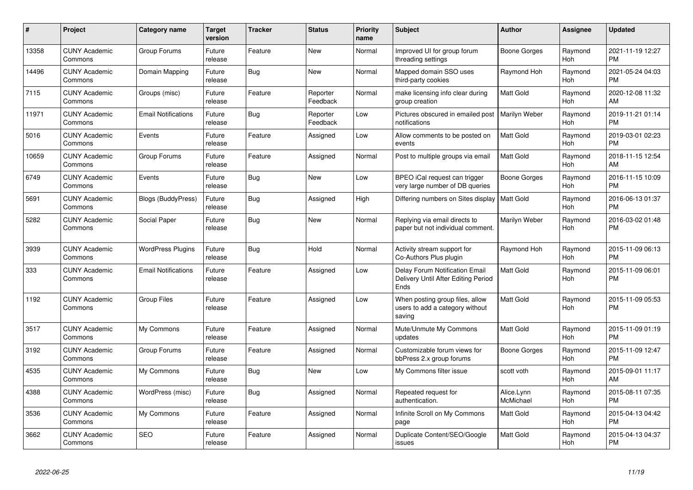| #     | Project                         | <b>Category name</b>       | Target<br>version | <b>Tracker</b> | <b>Status</b>        | <b>Priority</b><br>name | <b>Subject</b>                                                                | <b>Author</b>           | <b>Assignee</b>       | <b>Updated</b>                |
|-------|---------------------------------|----------------------------|-------------------|----------------|----------------------|-------------------------|-------------------------------------------------------------------------------|-------------------------|-----------------------|-------------------------------|
| 13358 | <b>CUNY Academic</b><br>Commons | Group Forums               | Future<br>release | Feature        | New                  | Normal                  | Improved UI for group forum<br>threading settings                             | Boone Gorges            | Raymond<br><b>Hoh</b> | 2021-11-19 12:27<br><b>PM</b> |
| 14496 | <b>CUNY Academic</b><br>Commons | Domain Mapping             | Future<br>release | Bug            | <b>New</b>           | Normal                  | Mapped domain SSO uses<br>third-party cookies                                 | Raymond Hoh             | Raymond<br>Hoh        | 2021-05-24 04:03<br><b>PM</b> |
| 7115  | <b>CUNY Academic</b><br>Commons | Groups (misc)              | Future<br>release | Feature        | Reporter<br>Feedback | Normal                  | make licensing info clear during<br>group creation                            | <b>Matt Gold</b>        | Raymond<br>Hoh        | 2020-12-08 11:32<br>AM        |
| 11971 | <b>CUNY Academic</b><br>Commons | <b>Email Notifications</b> | Future<br>release | Bug            | Reporter<br>Feedback | Low                     | Pictures obscured in emailed post<br>notifications                            | Marilyn Weber           | Raymond<br>Hoh        | 2019-11-21 01:14<br><b>PM</b> |
| 5016  | <b>CUNY Academic</b><br>Commons | Events                     | Future<br>release | Feature        | Assigned             | Low                     | Allow comments to be posted on<br>events                                      | <b>Matt Gold</b>        | Raymond<br>Hoh        | 2019-03-01 02:23<br><b>PM</b> |
| 10659 | <b>CUNY Academic</b><br>Commons | Group Forums               | Future<br>release | Feature        | Assigned             | Normal                  | Post to multiple groups via email                                             | Matt Gold               | Raymond<br>Hoh        | 2018-11-15 12:54<br>AM        |
| 6749  | <b>CUNY Academic</b><br>Commons | Events                     | Future<br>release | <b>Bug</b>     | <b>New</b>           | Low                     | BPEO iCal request can trigger<br>very large number of DB queries              | Boone Gorges            | Raymond<br><b>Hoh</b> | 2016-11-15 10:09<br><b>PM</b> |
| 5691  | <b>CUNY Academic</b><br>Commons | <b>Blogs (BuddyPress)</b>  | Future<br>release | Bug            | Assigned             | High                    | Differing numbers on Sites display                                            | <b>Matt Gold</b>        | Raymond<br>Hoh        | 2016-06-13 01:37<br><b>PM</b> |
| 5282  | <b>CUNY Academic</b><br>Commons | Social Paper               | Future<br>release | <b>Bug</b>     | <b>New</b>           | Normal                  | Replying via email directs to<br>paper but not individual comment.            | Marilyn Weber           | Raymond<br>Hoh        | 2016-03-02 01:48<br><b>PM</b> |
| 3939  | <b>CUNY Academic</b><br>Commons | <b>WordPress Plugins</b>   | Future<br>release | Bug            | Hold                 | Normal                  | Activity stream support for<br>Co-Authors Plus plugin                         | Raymond Hoh             | Raymond<br>Hoh        | 2015-11-09 06:13<br><b>PM</b> |
| 333   | <b>CUNY Academic</b><br>Commons | <b>Email Notifications</b> | Future<br>release | Feature        | Assigned             | Low                     | Delay Forum Notification Email<br>Delivery Until After Editing Period<br>Ends | Matt Gold               | Raymond<br>Hoh        | 2015-11-09 06:01<br><b>PM</b> |
| 1192  | <b>CUNY Academic</b><br>Commons | <b>Group Files</b>         | Future<br>release | Feature        | Assigned             | Low                     | When posting group files, allow<br>users to add a category without<br>saving  | Matt Gold               | Raymond<br>Hoh        | 2015-11-09 05:53<br><b>PM</b> |
| 3517  | <b>CUNY Academic</b><br>Commons | My Commons                 | Future<br>release | Feature        | Assigned             | Normal                  | Mute/Unmute My Commons<br>updates                                             | <b>Matt Gold</b>        | Raymond<br><b>Hoh</b> | 2015-11-09 01:19<br><b>PM</b> |
| 3192  | <b>CUNY Academic</b><br>Commons | Group Forums               | Future<br>release | Feature        | Assigned             | Normal                  | Customizable forum views for<br>bbPress 2.x group forums                      | Boone Gorges            | Raymond<br><b>Hoh</b> | 2015-11-09 12:47<br><b>PM</b> |
| 4535  | <b>CUNY Academic</b><br>Commons | My Commons                 | Future<br>release | Bug            | <b>New</b>           | Low                     | My Commons filter issue                                                       | scott voth              | Raymond<br>Hoh        | 2015-09-01 11:17<br>AM        |
| 4388  | <b>CUNY Academic</b><br>Commons | WordPress (misc)           | Future<br>release | Bug            | Assigned             | Normal                  | Repeated request for<br>authentication.                                       | Alice.Lynn<br>McMichael | Raymond<br>Hoh        | 2015-08-11 07:35<br><b>PM</b> |
| 3536  | <b>CUNY Academic</b><br>Commons | My Commons                 | Future<br>release | Feature        | Assigned             | Normal                  | Infinite Scroll on My Commons<br>page                                         | Matt Gold               | Raymond<br>Hoh        | 2015-04-13 04:42<br><b>PM</b> |
| 3662  | <b>CUNY Academic</b><br>Commons | <b>SEO</b>                 | Future<br>release | Feature        | Assigned             | Normal                  | Duplicate Content/SEO/Google<br>issues                                        | <b>Matt Gold</b>        | Raymond<br>Hoh        | 2015-04-13 04:37<br>PM        |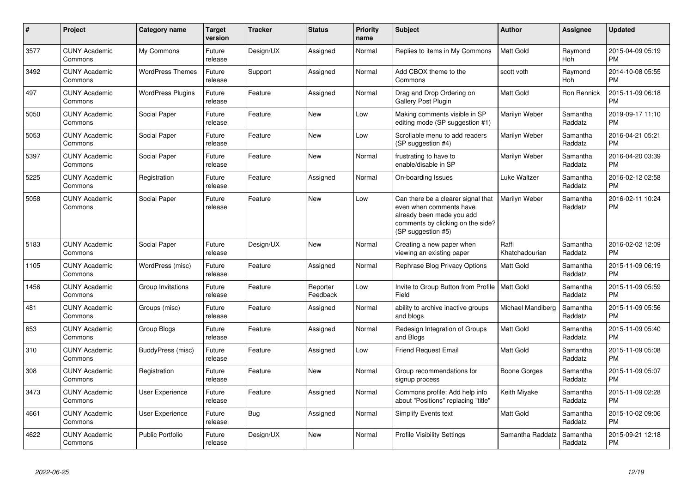| $\pmb{\#}$ | Project                         | <b>Category name</b>     | <b>Target</b><br>version | <b>Tracker</b> | <b>Status</b>        | <b>Priority</b><br>name | <b>Subject</b>                                                                                                                                        | Author                  | <b>Assignee</b>       | <b>Updated</b>                |
|------------|---------------------------------|--------------------------|--------------------------|----------------|----------------------|-------------------------|-------------------------------------------------------------------------------------------------------------------------------------------------------|-------------------------|-----------------------|-------------------------------|
| 3577       | <b>CUNY Academic</b><br>Commons | My Commons               | Future<br>release        | Design/UX      | Assigned             | Normal                  | Replies to items in My Commons                                                                                                                        | <b>Matt Gold</b>        | Raymond<br><b>Hoh</b> | 2015-04-09 05:19<br><b>PM</b> |
| 3492       | <b>CUNY Academic</b><br>Commons | <b>WordPress Themes</b>  | Future<br>release        | Support        | Assigned             | Normal                  | Add CBOX theme to the<br>Commons                                                                                                                      | scott voth              | Raymond<br><b>Hoh</b> | 2014-10-08 05:55<br><b>PM</b> |
| 497        | <b>CUNY Academic</b><br>Commons | <b>WordPress Plugins</b> | Future<br>release        | Feature        | Assigned             | Normal                  | Drag and Drop Ordering on<br><b>Gallery Post Plugin</b>                                                                                               | Matt Gold               | Ron Rennick           | 2015-11-09 06:18<br><b>PM</b> |
| 5050       | <b>CUNY Academic</b><br>Commons | Social Paper             | Future<br>release        | Feature        | <b>New</b>           | Low                     | Making comments visible in SP<br>editing mode (SP suggestion #1)                                                                                      | Marilyn Weber           | Samantha<br>Raddatz   | 2019-09-17 11:10<br><b>PM</b> |
| 5053       | <b>CUNY Academic</b><br>Commons | Social Paper             | Future<br>release        | Feature        | New                  | Low                     | Scrollable menu to add readers<br>(SP suggestion #4)                                                                                                  | Marilyn Weber           | Samantha<br>Raddatz   | 2016-04-21 05:21<br><b>PM</b> |
| 5397       | <b>CUNY Academic</b><br>Commons | Social Paper             | Future<br>release        | Feature        | <b>New</b>           | Normal                  | frustrating to have to<br>enable/disable in SP                                                                                                        | Marilyn Weber           | Samantha<br>Raddatz   | 2016-04-20 03:39<br><b>PM</b> |
| 5225       | <b>CUNY Academic</b><br>Commons | Registration             | Future<br>release        | Feature        | Assigned             | Normal                  | On-boarding Issues                                                                                                                                    | Luke Waltzer            | Samantha<br>Raddatz   | 2016-02-12 02:58<br><b>PM</b> |
| 5058       | <b>CUNY Academic</b><br>Commons | Social Paper             | Future<br>release        | Feature        | <b>New</b>           | Low                     | Can there be a clearer signal that<br>even when comments have<br>already been made you add<br>comments by clicking on the side?<br>(SP suggestion #5) | Marilyn Weber           | Samantha<br>Raddatz   | 2016-02-11 10:24<br><b>PM</b> |
| 5183       | <b>CUNY Academic</b><br>Commons | Social Paper             | Future<br>release        | Design/UX      | <b>New</b>           | Normal                  | Creating a new paper when<br>viewing an existing paper                                                                                                | Raffi<br>Khatchadourian | Samantha<br>Raddatz   | 2016-02-02 12:09<br><b>PM</b> |
| 1105       | <b>CUNY Academic</b><br>Commons | WordPress (misc)         | Future<br>release        | Feature        | Assigned             | Normal                  | Rephrase Blog Privacy Options                                                                                                                         | <b>Matt Gold</b>        | Samantha<br>Raddatz   | 2015-11-09 06:19<br><b>PM</b> |
| 1456       | <b>CUNY Academic</b><br>Commons | Group Invitations        | Future<br>release        | Feature        | Reporter<br>Feedback | Low                     | Invite to Group Button from Profile<br>Field                                                                                                          | <b>Matt Gold</b>        | Samantha<br>Raddatz   | 2015-11-09 05:59<br><b>PM</b> |
| 481        | <b>CUNY Academic</b><br>Commons | Groups (misc)            | Future<br>release        | Feature        | Assigned             | Normal                  | ability to archive inactive groups<br>and blogs                                                                                                       | Michael Mandiberg       | Samantha<br>Raddatz   | 2015-11-09 05:56<br><b>PM</b> |
| 653        | <b>CUNY Academic</b><br>Commons | Group Blogs              | Future<br>release        | Feature        | Assigned             | Normal                  | Redesign Integration of Groups<br>and Blogs                                                                                                           | <b>Matt Gold</b>        | Samantha<br>Raddatz   | 2015-11-09 05:40<br><b>PM</b> |
| 310        | <b>CUNY Academic</b><br>Commons | BuddyPress (misc)        | Future<br>release        | Feature        | Assigned             | Low                     | <b>Friend Request Email</b>                                                                                                                           | <b>Matt Gold</b>        | Samantha<br>Raddatz   | 2015-11-09 05:08<br><b>PM</b> |
| 308        | <b>CUNY Academic</b><br>Commons | Registration             | Future<br>release        | Feature        | <b>New</b>           | Normal                  | Group recommendations for<br>signup process                                                                                                           | Boone Gorges            | Samantha<br>Raddatz   | 2015-11-09 05:07<br><b>PM</b> |
| 3473       | <b>CUNY Academic</b><br>Commons | <b>User Experience</b>   | Future<br>release        | Feature        | Assigned             | Normal                  | Commons profile: Add help info<br>about "Positions" replacing "title"                                                                                 | Keith Miyake            | Samantha<br>Raddatz   | 2015-11-09 02:28<br><b>PM</b> |
| 4661       | <b>CUNY Academic</b><br>Commons | <b>User Experience</b>   | Future<br>release        | Bug            | Assigned             | Normal                  | <b>Simplify Events text</b>                                                                                                                           | Matt Gold               | Samantha<br>Raddatz   | 2015-10-02 09:06<br><b>PM</b> |
| 4622       | <b>CUNY Academic</b><br>Commons | <b>Public Portfolio</b>  | Future<br>release        | Design/UX      | <b>New</b>           | Normal                  | <b>Profile Visibility Settings</b>                                                                                                                    | Samantha Raddatz        | Samantha<br>Raddatz   | 2015-09-21 12:18<br>PM        |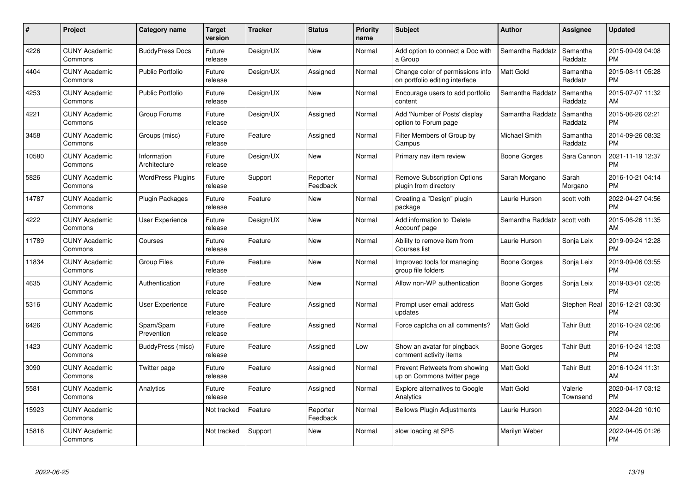| $\pmb{\#}$ | Project                         | <b>Category name</b>        | <b>Target</b><br>version | <b>Tracker</b> | <b>Status</b>        | <b>Priority</b><br>name | <b>Subject</b>                                                     | Author           | <b>Assignee</b>     | <b>Updated</b>                |
|------------|---------------------------------|-----------------------------|--------------------------|----------------|----------------------|-------------------------|--------------------------------------------------------------------|------------------|---------------------|-------------------------------|
| 4226       | <b>CUNY Academic</b><br>Commons | <b>BuddyPress Docs</b>      | Future<br>release        | Design/UX      | <b>New</b>           | Normal                  | Add option to connect a Doc with<br>a Group                        | Samantha Raddatz | Samantha<br>Raddatz | 2015-09-09 04:08<br><b>PM</b> |
| 4404       | <b>CUNY Academic</b><br>Commons | <b>Public Portfolio</b>     | Future<br>release        | Design/UX      | Assigned             | Normal                  | Change color of permissions info<br>on portfolio editing interface | <b>Matt Gold</b> | Samantha<br>Raddatz | 2015-08-11 05:28<br><b>PM</b> |
| 4253       | <b>CUNY Academic</b><br>Commons | <b>Public Portfolio</b>     | Future<br>release        | Design/UX      | <b>New</b>           | Normal                  | Encourage users to add portfolio<br>content                        | Samantha Raddatz | Samantha<br>Raddatz | 2015-07-07 11:32<br>AM        |
| 4221       | <b>CUNY Academic</b><br>Commons | Group Forums                | Future<br>release        | Design/UX      | Assigned             | Normal                  | Add 'Number of Posts' display<br>option to Forum page              | Samantha Raddatz | Samantha<br>Raddatz | 2015-06-26 02:21<br><b>PM</b> |
| 3458       | <b>CUNY Academic</b><br>Commons | Groups (misc)               | Future<br>release        | Feature        | Assigned             | Normal                  | Filter Members of Group by<br>Campus                               | Michael Smith    | Samantha<br>Raddatz | 2014-09-26 08:32<br><b>PM</b> |
| 10580      | <b>CUNY Academic</b><br>Commons | Information<br>Architecture | Future<br>release        | Design/UX      | <b>New</b>           | Normal                  | Primary nav item review                                            | Boone Gorges     | Sara Cannon         | 2021-11-19 12:37<br>PM        |
| 5826       | <b>CUNY Academic</b><br>Commons | <b>WordPress Plugins</b>    | Future<br>release        | Support        | Reporter<br>Feedback | Normal                  | <b>Remove Subscription Options</b><br>plugin from directory        | Sarah Morgano    | Sarah<br>Morgano    | 2016-10-21 04:14<br><b>PM</b> |
| 14787      | <b>CUNY Academic</b><br>Commons | <b>Plugin Packages</b>      | Future<br>release        | Feature        | <b>New</b>           | Normal                  | Creating a "Design" plugin<br>package                              | Laurie Hurson    | scott voth          | 2022-04-27 04:56<br><b>PM</b> |
| 4222       | <b>CUNY Academic</b><br>Commons | <b>User Experience</b>      | Future<br>release        | Design/UX      | <b>New</b>           | Normal                  | Add information to 'Delete<br>Account' page                        | Samantha Raddatz | scott voth          | 2015-06-26 11:35<br>AM        |
| 11789      | <b>CUNY Academic</b><br>Commons | Courses                     | Future<br>release        | Feature        | <b>New</b>           | Normal                  | Ability to remove item from<br>Courses list                        | Laurie Hurson    | Sonja Leix          | 2019-09-24 12:28<br><b>PM</b> |
| 11834      | <b>CUNY Academic</b><br>Commons | Group Files                 | Future<br>release        | Feature        | <b>New</b>           | Normal                  | Improved tools for managing<br>group file folders                  | Boone Gorges     | Sonja Leix          | 2019-09-06 03:55<br><b>PM</b> |
| 4635       | <b>CUNY Academic</b><br>Commons | Authentication              | Future<br>release        | Feature        | <b>New</b>           | Normal                  | Allow non-WP authentication                                        | Boone Gorges     | Sonja Leix          | 2019-03-01 02:05<br><b>PM</b> |
| 5316       | <b>CUNY Academic</b><br>Commons | <b>User Experience</b>      | Future<br>release        | Feature        | Assigned             | Normal                  | Prompt user email address<br>updates                               | <b>Matt Gold</b> | Stephen Real        | 2016-12-21 03:30<br><b>PM</b> |
| 6426       | <b>CUNY Academic</b><br>Commons | Spam/Spam<br>Prevention     | Future<br>release        | Feature        | Assigned             | Normal                  | Force captcha on all comments?                                     | <b>Matt Gold</b> | Tahir Butt          | 2016-10-24 02:06<br><b>PM</b> |
| 1423       | <b>CUNY Academic</b><br>Commons | BuddyPress (misc)           | Future<br>release        | Feature        | Assigned             | Low                     | Show an avatar for pingback<br>comment activity items              | Boone Gorges     | <b>Tahir Butt</b>   | 2016-10-24 12:03<br><b>PM</b> |
| 3090       | <b>CUNY Academic</b><br>Commons | Twitter page                | Future<br>release        | Feature        | Assigned             | Normal                  | Prevent Retweets from showing<br>up on Commons twitter page        | <b>Matt Gold</b> | <b>Tahir Butt</b>   | 2016-10-24 11:31<br>AM        |
| 5581       | <b>CUNY Academic</b><br>Commons | Analytics                   | Future<br>release        | Feature        | Assigned             | Normal                  | <b>Explore alternatives to Google</b><br>Analytics                 | <b>Matt Gold</b> | Valerie<br>Townsend | 2020-04-17 03:12<br>PM        |
| 15923      | <b>CUNY Academic</b><br>Commons |                             | Not tracked              | Feature        | Reporter<br>Feedback | Normal                  | <b>Bellows Plugin Adjustments</b>                                  | Laurie Hurson    |                     | 2022-04-20 10:10<br>AM        |
| 15816      | <b>CUNY Academic</b><br>Commons |                             | Not tracked              | Support        | <b>New</b>           | Normal                  | slow loading at SPS                                                | Marilyn Weber    |                     | 2022-04-05 01:26<br>PM        |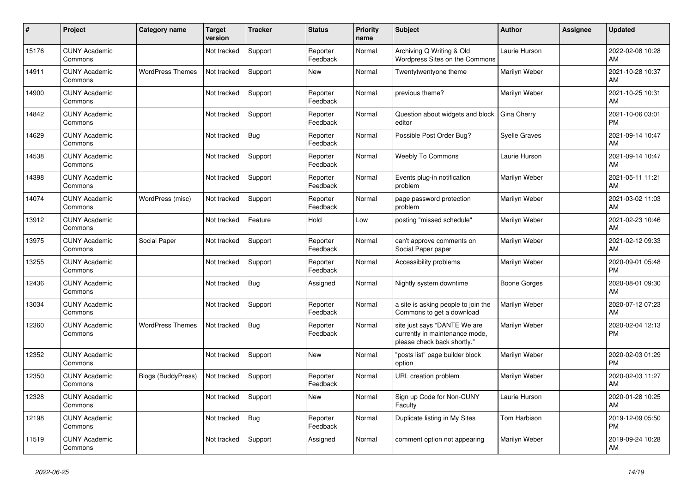| #     | <b>Project</b>                  | Category name             | <b>Target</b><br>version | Tracker    | <b>Status</b>        | <b>Priority</b><br>name | <b>Subject</b>                                                                                | <b>Author</b>        | Assignee | <b>Updated</b>                |
|-------|---------------------------------|---------------------------|--------------------------|------------|----------------------|-------------------------|-----------------------------------------------------------------------------------------------|----------------------|----------|-------------------------------|
| 15176 | <b>CUNY Academic</b><br>Commons |                           | Not tracked              | Support    | Reporter<br>Feedback | Normal                  | Archiving Q Writing & Old<br>Wordpress Sites on the Commons                                   | Laurie Hurson        |          | 2022-02-08 10:28<br>AM        |
| 14911 | <b>CUNY Academic</b><br>Commons | <b>WordPress Themes</b>   | Not tracked              | Support    | <b>New</b>           | Normal                  | Twentytwentyone theme                                                                         | Marilyn Weber        |          | 2021-10-28 10:37<br>AM        |
| 14900 | <b>CUNY Academic</b><br>Commons |                           | Not tracked              | Support    | Reporter<br>Feedback | Normal                  | previous theme?                                                                               | Marilyn Weber        |          | 2021-10-25 10:31<br>AM        |
| 14842 | <b>CUNY Academic</b><br>Commons |                           | Not tracked              | Support    | Reporter<br>Feedback | Normal                  | Question about widgets and block<br>editor                                                    | Gina Cherry          |          | 2021-10-06 03:01<br><b>PM</b> |
| 14629 | <b>CUNY Academic</b><br>Commons |                           | Not tracked              | <b>Bug</b> | Reporter<br>Feedback | Normal                  | Possible Post Order Bug?                                                                      | <b>Syelle Graves</b> |          | 2021-09-14 10:47<br>AM        |
| 14538 | <b>CUNY Academic</b><br>Commons |                           | Not tracked              | Support    | Reporter<br>Feedback | Normal                  | <b>Weebly To Commons</b>                                                                      | Laurie Hurson        |          | 2021-09-14 10:47<br>AM        |
| 14398 | <b>CUNY Academic</b><br>Commons |                           | Not tracked              | Support    | Reporter<br>Feedback | Normal                  | Events plug-in notification<br>problem                                                        | Marilyn Weber        |          | 2021-05-11 11:21<br>AM        |
| 14074 | <b>CUNY Academic</b><br>Commons | WordPress (misc)          | Not tracked              | Support    | Reporter<br>Feedback | Normal                  | page password protection<br>problem                                                           | Marilyn Weber        |          | 2021-03-02 11:03<br>AM        |
| 13912 | <b>CUNY Academic</b><br>Commons |                           | Not tracked              | Feature    | Hold                 | Low                     | posting "missed schedule"                                                                     | Marilyn Weber        |          | 2021-02-23 10:46<br>AM        |
| 13975 | <b>CUNY Academic</b><br>Commons | Social Paper              | Not tracked              | Support    | Reporter<br>Feedback | Normal                  | can't approve comments on<br>Social Paper paper                                               | Marilyn Weber        |          | 2021-02-12 09:33<br>AM        |
| 13255 | <b>CUNY Academic</b><br>Commons |                           | Not tracked              | Support    | Reporter<br>Feedback | Normal                  | Accessibility problems                                                                        | Marilyn Weber        |          | 2020-09-01 05:48<br><b>PM</b> |
| 12436 | <b>CUNY Academic</b><br>Commons |                           | Not tracked              | Bug        | Assigned             | Normal                  | Nightly system downtime                                                                       | Boone Gorges         |          | 2020-08-01 09:30<br>AM        |
| 13034 | <b>CUNY Academic</b><br>Commons |                           | Not tracked              | Support    | Reporter<br>Feedback | Normal                  | a site is asking people to join the<br>Commons to get a download                              | Marilyn Weber        |          | 2020-07-12 07:23<br>AM        |
| 12360 | <b>CUNY Academic</b><br>Commons | <b>WordPress Themes</b>   | Not tracked              | <b>Bug</b> | Reporter<br>Feedback | Normal                  | site just says "DANTE We are<br>currently in maintenance mode,<br>please check back shortly." | Marilyn Weber        |          | 2020-02-04 12:13<br><b>PM</b> |
| 12352 | <b>CUNY Academic</b><br>Commons |                           | Not tracked              | Support    | <b>New</b>           | Normal                  | "posts list" page builder block<br>option                                                     | Marilyn Weber        |          | 2020-02-03 01:29<br><b>PM</b> |
| 12350 | <b>CUNY Academic</b><br>Commons | <b>Blogs (BuddyPress)</b> | Not tracked              | Support    | Reporter<br>Feedback | Normal                  | URL creation problem                                                                          | Marilyn Weber        |          | 2020-02-03 11:27<br>AM        |
| 12328 | <b>CUNY Academic</b><br>Commons |                           | Not tracked              | Support    | <b>New</b>           | Normal                  | Sign up Code for Non-CUNY<br>Faculty                                                          | Laurie Hurson        |          | 2020-01-28 10:25<br>AM        |
| 12198 | <b>CUNY Academic</b><br>Commons |                           | Not tracked              | Bug        | Reporter<br>Feedback | Normal                  | Duplicate listing in My Sites                                                                 | Tom Harbison         |          | 2019-12-09 05:50<br><b>PM</b> |
| 11519 | <b>CUNY Academic</b><br>Commons |                           | Not tracked              | Support    | Assigned             | Normal                  | comment option not appearing                                                                  | Marilyn Weber        |          | 2019-09-24 10:28<br>AM        |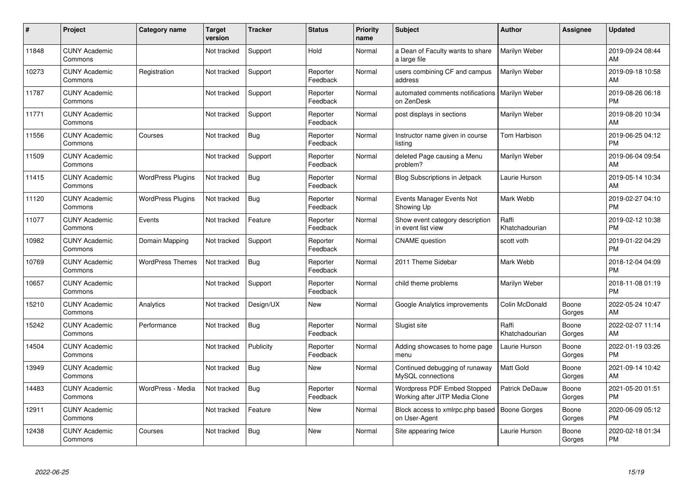| #     | Project                         | <b>Category name</b>     | <b>Target</b><br>version | <b>Tracker</b> | <b>Status</b>        | <b>Priority</b><br>name | <b>Subject</b>                                                | Author                  | <b>Assignee</b> | <b>Updated</b>                |
|-------|---------------------------------|--------------------------|--------------------------|----------------|----------------------|-------------------------|---------------------------------------------------------------|-------------------------|-----------------|-------------------------------|
| 11848 | <b>CUNY Academic</b><br>Commons |                          | Not tracked              | Support        | Hold                 | Normal                  | a Dean of Faculty wants to share<br>a large file              | Marilyn Weber           |                 | 2019-09-24 08:44<br>AM        |
| 10273 | <b>CUNY Academic</b><br>Commons | Registration             | Not tracked              | Support        | Reporter<br>Feedback | Normal                  | users combining CF and campus<br>address                      | Marilyn Weber           |                 | 2019-09-18 10:58<br>AM        |
| 11787 | <b>CUNY Academic</b><br>Commons |                          | Not tracked              | Support        | Reporter<br>Feedback | Normal                  | automated comments notifications<br>on ZenDesk                | Marilyn Weber           |                 | 2019-08-26 06:18<br><b>PM</b> |
| 11771 | <b>CUNY Academic</b><br>Commons |                          | Not tracked              | Support        | Reporter<br>Feedback | Normal                  | post displays in sections                                     | Marilyn Weber           |                 | 2019-08-20 10:34<br>AM        |
| 11556 | <b>CUNY Academic</b><br>Commons | Courses                  | Not tracked              | <b>Bug</b>     | Reporter<br>Feedback | Normal                  | Instructor name given in course<br>listina                    | Tom Harbison            |                 | 2019-06-25 04:12<br><b>PM</b> |
| 11509 | <b>CUNY Academic</b><br>Commons |                          | Not tracked              | Support        | Reporter<br>Feedback | Normal                  | deleted Page causing a Menu<br>problem?                       | Marilyn Weber           |                 | 2019-06-04 09:54<br>AM        |
| 11415 | <b>CUNY Academic</b><br>Commons | <b>WordPress Plugins</b> | Not tracked              | Bug            | Reporter<br>Feedback | Normal                  | <b>Blog Subscriptions in Jetpack</b>                          | Laurie Hurson           |                 | 2019-05-14 10:34<br>AM        |
| 11120 | <b>CUNY Academic</b><br>Commons | <b>WordPress Plugins</b> | Not tracked              | Bug            | Reporter<br>Feedback | Normal                  | Events Manager Events Not<br>Showing Up                       | Mark Webb               |                 | 2019-02-27 04:10<br><b>PM</b> |
| 11077 | <b>CUNY Academic</b><br>Commons | Events                   | Not tracked              | Feature        | Reporter<br>Feedback | Normal                  | Show event category description<br>in event list view         | Raffi<br>Khatchadourian |                 | 2019-02-12 10:38<br><b>PM</b> |
| 10982 | <b>CUNY Academic</b><br>Commons | Domain Mapping           | Not tracked              | Support        | Reporter<br>Feedback | Normal                  | <b>CNAME</b> question                                         | scott voth              |                 | 2019-01-22 04:29<br><b>PM</b> |
| 10769 | <b>CUNY Academic</b><br>Commons | <b>WordPress Themes</b>  | Not tracked              | Bug            | Reporter<br>Feedback | Normal                  | 2011 Theme Sidebar                                            | Mark Webb               |                 | 2018-12-04 04:09<br><b>PM</b> |
| 10657 | <b>CUNY Academic</b><br>Commons |                          | Not tracked              | Support        | Reporter<br>Feedback | Normal                  | child theme problems                                          | Marilyn Weber           |                 | 2018-11-08 01:19<br><b>PM</b> |
| 15210 | <b>CUNY Academic</b><br>Commons | Analytics                | Not tracked              | Design/UX      | New                  | Normal                  | Google Analytics improvements                                 | Colin McDonald          | Boone<br>Gorges | 2022-05-24 10:47<br>AM        |
| 15242 | <b>CUNY Academic</b><br>Commons | Performance              | Not tracked              | Bug            | Reporter<br>Feedback | Normal                  | Slugist site                                                  | Raffi<br>Khatchadourian | Boone<br>Gorges | 2022-02-07 11:14<br>AM        |
| 14504 | <b>CUNY Academic</b><br>Commons |                          | Not tracked              | Publicity      | Reporter<br>Feedback | Normal                  | Adding showcases to home page<br>menu                         | Laurie Hurson           | Boone<br>Gorges | 2022-01-19 03:26<br><b>PM</b> |
| 13949 | <b>CUNY Academic</b><br>Commons |                          | Not tracked              | <b>Bug</b>     | <b>New</b>           | Normal                  | Continued debugging of runaway<br>MySQL connections           | <b>Matt Gold</b>        | Boone<br>Gorges | 2021-09-14 10:42<br>AM        |
| 14483 | <b>CUNY Academic</b><br>Commons | WordPress - Media        | Not tracked              | <b>Bug</b>     | Reporter<br>Feedback | Normal                  | Wordpress PDF Embed Stopped<br>Working after JITP Media Clone | Patrick DeDauw          | Boone<br>Gorges | 2021-05-20 01:51<br><b>PM</b> |
| 12911 | <b>CUNY Academic</b><br>Commons |                          | Not tracked              | Feature        | New                  | Normal                  | Block access to xmlrpc.php based<br>on User-Agent             | Boone Gorges            | Boone<br>Gorges | 2020-06-09 05:12<br><b>PM</b> |
| 12438 | <b>CUNY Academic</b><br>Commons | Courses                  | Not tracked              | <b>Bug</b>     | <b>New</b>           | Normal                  | Site appearing twice                                          | Laurie Hurson           | Boone<br>Gorges | 2020-02-18 01:34<br><b>PM</b> |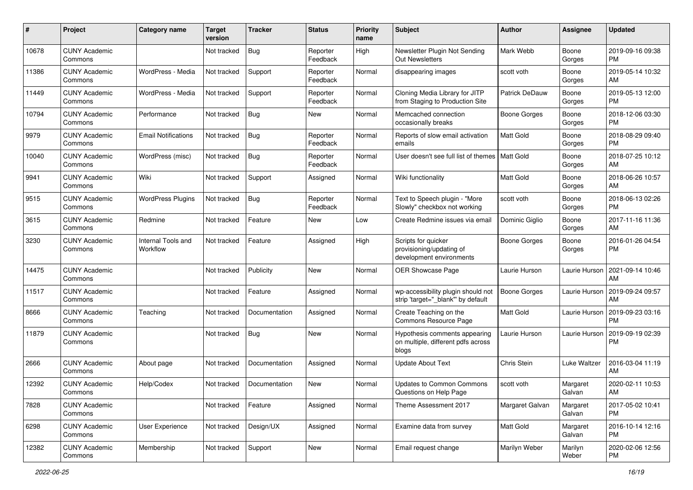| #     | Project                         | <b>Category name</b>           | <b>Target</b><br>version | <b>Tracker</b> | <b>Status</b>        | <b>Priority</b><br>name | Subject                                                                      | Author              | <b>Assignee</b>    | <b>Updated</b>                |
|-------|---------------------------------|--------------------------------|--------------------------|----------------|----------------------|-------------------------|------------------------------------------------------------------------------|---------------------|--------------------|-------------------------------|
| 10678 | <b>CUNY Academic</b><br>Commons |                                | Not tracked              | <b>Bug</b>     | Reporter<br>Feedback | High                    | Newsletter Plugin Not Sending<br>Out Newsletters                             | Mark Webb           | Boone<br>Gorges    | 2019-09-16 09:38<br>PM        |
| 11386 | <b>CUNY Academic</b><br>Commons | WordPress - Media              | Not tracked              | Support        | Reporter<br>Feedback | Normal                  | disappearing images                                                          | scott voth          | Boone<br>Gorges    | 2019-05-14 10:32<br>AM        |
| 11449 | <b>CUNY Academic</b><br>Commons | WordPress - Media              | Not tracked              | Support        | Reporter<br>Feedback | Normal                  | Cloning Media Library for JITP<br>from Staging to Production Site            | Patrick DeDauw      | Boone<br>Gorges    | 2019-05-13 12:00<br><b>PM</b> |
| 10794 | <b>CUNY Academic</b><br>Commons | Performance                    | Not tracked              | <b>Bug</b>     | New                  | Normal                  | Memcached connection<br>occasionally breaks                                  | <b>Boone Gorges</b> | Boone<br>Gorges    | 2018-12-06 03:30<br>PM        |
| 9979  | <b>CUNY Academic</b><br>Commons | <b>Email Notifications</b>     | Not tracked              | <b>Bug</b>     | Reporter<br>Feedback | Normal                  | Reports of slow email activation<br>emails                                   | Matt Gold           | Boone<br>Gorges    | 2018-08-29 09:40<br><b>PM</b> |
| 10040 | <b>CUNY Academic</b><br>Commons | WordPress (misc)               | Not tracked              | Bug            | Reporter<br>Feedback | Normal                  | User doesn't see full list of themes   Matt Gold                             |                     | Boone<br>Gorges    | 2018-07-25 10:12<br>AM        |
| 9941  | <b>CUNY Academic</b><br>Commons | Wiki                           | Not tracked              | Support        | Assigned             | Normal                  | Wiki functionality                                                           | Matt Gold           | Boone<br>Gorges    | 2018-06-26 10:57<br>AM        |
| 9515  | <b>CUNY Academic</b><br>Commons | <b>WordPress Plugins</b>       | Not tracked              | <b>Bug</b>     | Reporter<br>Feedback | Normal                  | Text to Speech plugin - "More<br>Slowly" checkbox not working                | scott voth          | Boone<br>Gorges    | 2018-06-13 02:26<br><b>PM</b> |
| 3615  | <b>CUNY Academic</b><br>Commons | Redmine                        | Not tracked              | Feature        | New                  | Low                     | Create Redmine issues via email                                              | Dominic Giglio      | Boone<br>Gorges    | 2017-11-16 11:36<br>AM        |
| 3230  | <b>CUNY Academic</b><br>Commons | Internal Tools and<br>Workflow | Not tracked              | Feature        | Assigned             | High                    | Scripts for quicker<br>provisioning/updating of<br>development environments  | <b>Boone Gorges</b> | Boone<br>Gorges    | 2016-01-26 04:54<br><b>PM</b> |
| 14475 | <b>CUNY Academic</b><br>Commons |                                | Not tracked              | Publicity      | New                  | Normal                  | OER Showcase Page                                                            | Laurie Hurson       | Laurie Hurson      | 2021-09-14 10:46<br>AM        |
| 11517 | <b>CUNY Academic</b><br>Commons |                                | Not tracked              | Feature        | Assigned             | Normal                  | wp-accessibility plugin should not<br>strip 'target="_blank" by default      | <b>Boone Gorges</b> | Laurie Hurson      | 2019-09-24 09:57<br>AM        |
| 8666  | <b>CUNY Academic</b><br>Commons | Teaching                       | Not tracked              | Documentation  | Assigned             | Normal                  | Create Teaching on the<br>Commons Resource Page                              | Matt Gold           | Laurie Hurson      | 2019-09-23 03:16<br><b>PM</b> |
| 11879 | <b>CUNY Academic</b><br>Commons |                                | Not tracked              | <b>Bug</b>     | New                  | Normal                  | Hypothesis comments appearing<br>on multiple, different pdfs across<br>blogs | Laurie Hurson       | Laurie Hurson      | 2019-09-19 02:39<br><b>PM</b> |
| 2666  | <b>CUNY Academic</b><br>Commons | About page                     | Not tracked              | Documentation  | Assigned             | Normal                  | <b>Update About Text</b>                                                     | Chris Stein         | Luke Waltzer       | 2016-03-04 11:19<br>AM        |
| 12392 | <b>CUNY Academic</b><br>Commons | Help/Codex                     | Not tracked              | Documentation  | New                  | Normal                  | <b>Updates to Common Commons</b><br>Questions on Help Page                   | scott voth          | Margaret<br>Galvan | 2020-02-11 10:53<br>AM        |
| 7828  | <b>CUNY Academic</b><br>Commons |                                | Not tracked              | Feature        | Assigned             | Normal                  | Theme Assessment 2017                                                        | Margaret Galvan     | Margaret<br>Galvan | 2017-05-02 10:41<br>PM        |
| 6298  | <b>CUNY Academic</b><br>Commons | User Experience                | Not tracked              | Design/UX      | Assigned             | Normal                  | Examine data from survey                                                     | Matt Gold           | Margaret<br>Galvan | 2016-10-14 12:16<br>PM        |
| 12382 | <b>CUNY Academic</b><br>Commons | Membership                     | Not tracked              | Support        | New                  | Normal                  | Email request change                                                         | Marilyn Weber       | Marilyn<br>Weber   | 2020-02-06 12:56<br>PM        |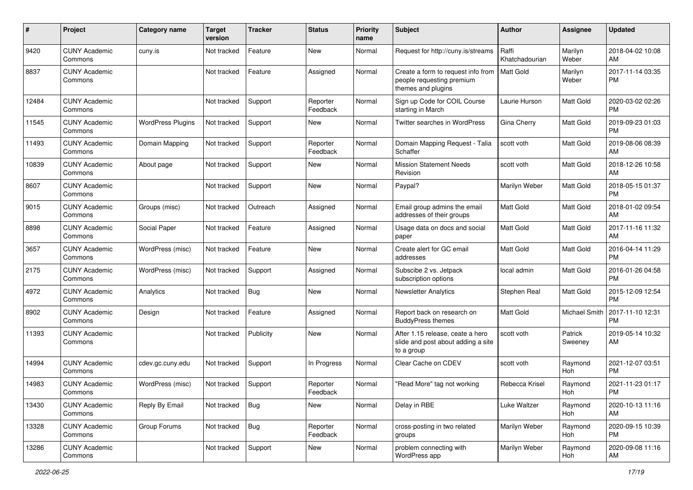| #     | Project                         | <b>Category name</b>     | <b>Target</b><br>version | <b>Tracker</b> | <b>Status</b>        | <b>Priority</b><br>name | Subject                                                                               | Author                  | Assignee           | <b>Updated</b>                |
|-------|---------------------------------|--------------------------|--------------------------|----------------|----------------------|-------------------------|---------------------------------------------------------------------------------------|-------------------------|--------------------|-------------------------------|
| 9420  | <b>CUNY Academic</b><br>Commons | cuny.is                  | Not tracked              | Feature        | <b>New</b>           | Normal                  | Request for http://cuny.is/streams                                                    | Raffi<br>Khatchadourian | Marilyn<br>Weber   | 2018-04-02 10:08<br>AM        |
| 8837  | <b>CUNY Academic</b><br>Commons |                          | Not tracked              | Feature        | Assigned             | Normal                  | Create a form to request info from<br>people requesting premium<br>themes and plugins | Matt Gold               | Marilyn<br>Weber   | 2017-11-14 03:35<br><b>PM</b> |
| 12484 | <b>CUNY Academic</b><br>Commons |                          | Not tracked              | Support        | Reporter<br>Feedback | Normal                  | Sign up Code for COIL Course<br>starting in March                                     | Laurie Hurson           | Matt Gold          | 2020-03-02 02:26<br><b>PM</b> |
| 11545 | <b>CUNY Academic</b><br>Commons | <b>WordPress Plugins</b> | Not tracked              | Support        | New                  | Normal                  | Twitter searches in WordPress                                                         | Gina Cherry             | Matt Gold          | 2019-09-23 01:03<br><b>PM</b> |
| 11493 | <b>CUNY Academic</b><br>Commons | Domain Mapping           | Not tracked              | Support        | Reporter<br>Feedback | Normal                  | Domain Mapping Request - Talia<br>Schaffer                                            | scott voth              | Matt Gold          | 2019-08-06 08:39<br>AM        |
| 10839 | <b>CUNY Academic</b><br>Commons | About page               | Not tracked              | Support        | <b>New</b>           | Normal                  | <b>Mission Statement Needs</b><br>Revision                                            | scott voth              | Matt Gold          | 2018-12-26 10:58<br>AM        |
| 8607  | <b>CUNY Academic</b><br>Commons |                          | Not tracked              | Support        | <b>New</b>           | Normal                  | Paypal?                                                                               | Marilyn Weber           | Matt Gold          | 2018-05-15 01:37<br><b>PM</b> |
| 9015  | <b>CUNY Academic</b><br>Commons | Groups (misc)            | Not tracked              | Outreach       | Assigned             | Normal                  | Email group admins the email<br>addresses of their groups                             | <b>Matt Gold</b>        | Matt Gold          | 2018-01-02 09:54<br>AM        |
| 8898  | <b>CUNY Academic</b><br>Commons | Social Paper             | Not tracked              | Feature        | Assigned             | Normal                  | Usage data on docs and social<br>paper                                                | Matt Gold               | Matt Gold          | 2017-11-16 11:32<br>AM        |
| 3657  | <b>CUNY Academic</b><br>Commons | WordPress (misc)         | Not tracked              | Feature        | New                  | Normal                  | Create alert for GC email<br>addresses                                                | Matt Gold               | Matt Gold          | 2016-04-14 11:29<br><b>PM</b> |
| 2175  | <b>CUNY Academic</b><br>Commons | WordPress (misc)         | Not tracked              | Support        | Assigned             | Normal                  | Subscibe 2 vs. Jetpack<br>subscription options                                        | local admin             | Matt Gold          | 2016-01-26 04:58<br><b>PM</b> |
| 4972  | <b>CUNY Academic</b><br>Commons | Analytics                | Not tracked              | Bug            | New                  | Normal                  | <b>Newsletter Analytics</b>                                                           | Stephen Real            | Matt Gold          | 2015-12-09 12:54<br><b>PM</b> |
| 8902  | <b>CUNY Academic</b><br>Commons | Design                   | Not tracked              | Feature        | Assigned             | Normal                  | Report back on research on<br><b>BuddyPress themes</b>                                | <b>Matt Gold</b>        | Michael Smith      | 2017-11-10 12:31<br><b>PM</b> |
| 11393 | <b>CUNY Academic</b><br>Commons |                          | Not tracked              | Publicity      | New                  | Normal                  | After 1.15 release, ceate a hero<br>slide and post about adding a site<br>to a group  | scott voth              | Patrick<br>Sweeney | 2019-05-14 10:32<br>AM        |
| 14994 | <b>CUNY Academic</b><br>Commons | cdev.gc.cuny.edu         | Not tracked              | Support        | In Progress          | Normal                  | Clear Cache on CDEV                                                                   | scott voth              | Raymond<br>Hoh     | 2021-12-07 03:51<br><b>PM</b> |
| 14983 | <b>CUNY Academic</b><br>Commons | WordPress (misc)         | Not tracked              | Support        | Reporter<br>Feedback | Normal                  | "Read More" tag not working                                                           | Rebecca Krisel          | Raymond<br>Hoh     | 2021-11-23 01:17<br>PM        |
| 13430 | <b>CUNY Academic</b><br>Commons | Reply By Email           | Not tracked              | Bug            | New                  | Normal                  | Delay in RBE                                                                          | Luke Waltzer            | Raymond<br>Hoh     | 2020-10-13 11:16<br>AM        |
| 13328 | <b>CUNY Academic</b><br>Commons | Group Forums             | Not tracked              | Bug            | Reporter<br>Feedback | Normal                  | cross-posting in two related<br>groups                                                | Marilyn Weber           | Raymond<br>Hoh     | 2020-09-15 10:39<br><b>PM</b> |
| 13286 | <b>CUNY Academic</b><br>Commons |                          | Not tracked              | Support        | New                  | Normal                  | problem connecting with<br>WordPress app                                              | Marilyn Weber           | Raymond<br>Hoh     | 2020-09-08 11:16<br>AM        |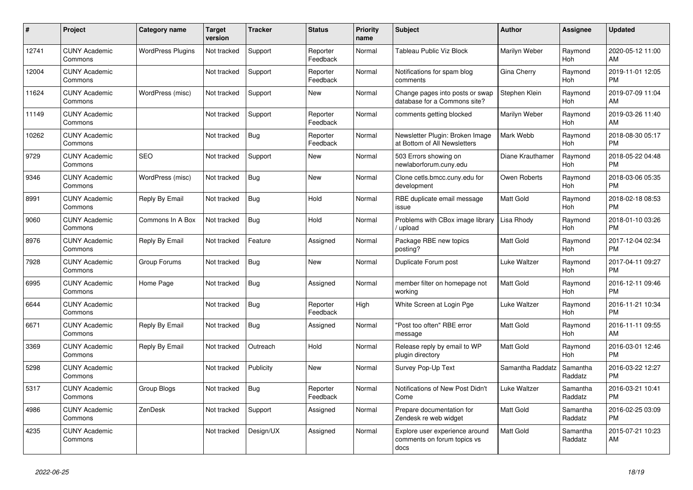| #     | Project                         | <b>Category name</b>     | <b>Target</b><br>version | <b>Tracker</b> | <b>Status</b>        | <b>Priority</b><br>name | <b>Subject</b>                                                        | <b>Author</b>       | Assignee              | <b>Updated</b>                |
|-------|---------------------------------|--------------------------|--------------------------|----------------|----------------------|-------------------------|-----------------------------------------------------------------------|---------------------|-----------------------|-------------------------------|
| 12741 | <b>CUNY Academic</b><br>Commons | <b>WordPress Plugins</b> | Not tracked              | Support        | Reporter<br>Feedback | Normal                  | <b>Tableau Public Viz Block</b>                                       | Marilyn Weber       | Raymond<br>Hoh        | 2020-05-12 11:00<br>AM        |
| 12004 | <b>CUNY Academic</b><br>Commons |                          | Not tracked              | Support        | Reporter<br>Feedback | Normal                  | Notifications for spam blog<br>comments                               | Gina Cherry         | Raymond<br><b>Hoh</b> | 2019-11-01 12:05<br><b>PM</b> |
| 11624 | <b>CUNY Academic</b><br>Commons | WordPress (misc)         | Not tracked              | Support        | New                  | Normal                  | Change pages into posts or swap<br>database for a Commons site?       | Stephen Klein       | Raymond<br><b>Hoh</b> | 2019-07-09 11:04<br>AM        |
| 11149 | <b>CUNY Academic</b><br>Commons |                          | Not tracked              | Support        | Reporter<br>Feedback | Normal                  | comments getting blocked                                              | Marilyn Weber       | Raymond<br>Hoh        | 2019-03-26 11:40<br>AM        |
| 10262 | <b>CUNY Academic</b><br>Commons |                          | Not tracked              | Bug            | Reporter<br>Feedback | Normal                  | Newsletter Plugin: Broken Image<br>at Bottom of All Newsletters       | Mark Webb           | Raymond<br><b>Hoh</b> | 2018-08-30 05:17<br><b>PM</b> |
| 9729  | <b>CUNY Academic</b><br>Commons | <b>SEO</b>               | Not tracked              | Support        | <b>New</b>           | Normal                  | 503 Errors showing on<br>newlaborforum.cuny.edu                       | Diane Krauthamer    | Raymond<br><b>Hoh</b> | 2018-05-22 04:48<br><b>PM</b> |
| 9346  | <b>CUNY Academic</b><br>Commons | WordPress (misc)         | Not tracked              | Bug            | <b>New</b>           | Normal                  | Clone cetls.bmcc.cuny.edu for<br>development                          | Owen Roberts        | Raymond<br>Hoh        | 2018-03-06 05:35<br><b>PM</b> |
| 8991  | <b>CUNY Academic</b><br>Commons | Reply By Email           | Not tracked              | Bug            | Hold                 | Normal                  | RBE duplicate email message<br>issue                                  | <b>Matt Gold</b>    | Raymond<br><b>Hoh</b> | 2018-02-18 08:53<br><b>PM</b> |
| 9060  | <b>CUNY Academic</b><br>Commons | Commons In A Box         | Not tracked              | <b>Bug</b>     | Hold                 | Normal                  | Problems with CBox image library<br>upload                            | Lisa Rhody          | Raymond<br><b>Hoh</b> | 2018-01-10 03:26<br><b>PM</b> |
| 8976  | <b>CUNY Academic</b><br>Commons | Reply By Email           | Not tracked              | Feature        | Assigned             | Normal                  | Package RBE new topics<br>posting?                                    | <b>Matt Gold</b>    | Raymond<br>Hoh        | 2017-12-04 02:34<br><b>PM</b> |
| 7928  | <b>CUNY Academic</b><br>Commons | Group Forums             | Not tracked              | Bug            | <b>New</b>           | Normal                  | Duplicate Forum post                                                  | Luke Waltzer        | Raymond<br>Hoh        | 2017-04-11 09:27<br><b>PM</b> |
| 6995  | <b>CUNY Academic</b><br>Commons | Home Page                | Not tracked              | <b>Bug</b>     | Assigned             | Normal                  | member filter on homepage not<br>working                              | <b>Matt Gold</b>    | Raymond<br><b>Hoh</b> | 2016-12-11 09:46<br><b>PM</b> |
| 6644  | <b>CUNY Academic</b><br>Commons |                          | Not tracked              | <b>Bug</b>     | Reporter<br>Feedback | High                    | White Screen at Login Pge                                             | Luke Waltzer        | Raymond<br><b>Hoh</b> | 2016-11-21 10:34<br><b>PM</b> |
| 6671  | <b>CUNY Academic</b><br>Commons | Reply By Email           | Not tracked              | Bug            | Assigned             | Normal                  | 'Post too often" RBE error<br>message                                 | <b>Matt Gold</b>    | Raymond<br>Hoh        | 2016-11-11 09:55<br>AM        |
| 3369  | <b>CUNY Academic</b><br>Commons | Reply By Email           | Not tracked              | Outreach       | Hold                 | Normal                  | Release reply by email to WP<br>plugin directory                      | Matt Gold           | Raymond<br><b>Hoh</b> | 2016-03-01 12:46<br><b>PM</b> |
| 5298  | <b>CUNY Academic</b><br>Commons |                          | Not tracked              | Publicity      | <b>New</b>           | Normal                  | Survey Pop-Up Text                                                    | Samantha Raddatz    | Samantha<br>Raddatz   | 2016-03-22 12:27<br><b>PM</b> |
| 5317  | <b>CUNY Academic</b><br>Commons | Group Blogs              | Not tracked              | Bug            | Reporter<br>Feedback | Normal                  | Notifications of New Post Didn't<br>Come                              | <b>Luke Waltzer</b> | Samantha<br>Raddatz   | 2016-03-21 10:41<br><b>PM</b> |
| 4986  | <b>CUNY Academic</b><br>Commons | ZenDesk                  | Not tracked              | Support        | Assigned             | Normal                  | Prepare documentation for<br>Zendesk re web widget                    | Matt Gold           | Samantha<br>Raddatz   | 2016-02-25 03:09<br><b>PM</b> |
| 4235  | <b>CUNY Academic</b><br>Commons |                          | Not tracked              | Design/UX      | Assigned             | Normal                  | Explore user experience around<br>comments on forum topics vs<br>docs | <b>Matt Gold</b>    | Samantha<br>Raddatz   | 2015-07-21 10:23<br>AM        |